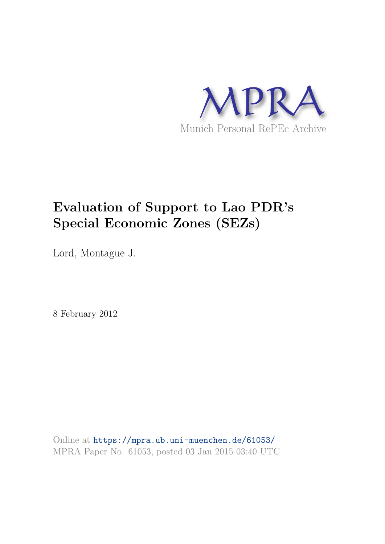

# **Evaluation of Support to Lao PDR's Special Economic Zones (SEZs)**

Lord, Montague J.

8 February 2012

Online at https://mpra.ub.uni-muenchen.de/61053/ MPRA Paper No. 61053, posted 03 Jan 2015 03:40 UTC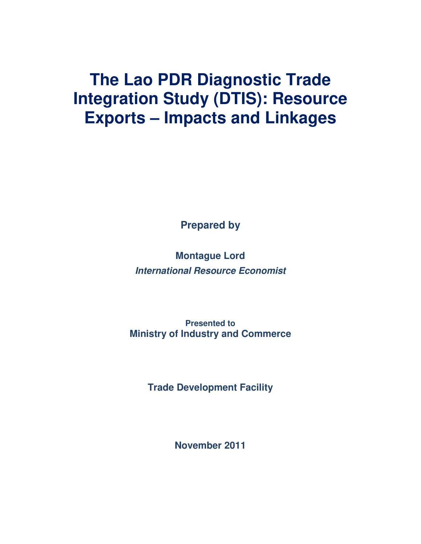# **The Lao PDR Diagnostic Trade Integration Study (DTIS): Resource Exports – Impacts and Linkages**

**Prepared by** 

**Montague Lord**  *International Resource Economist*

**Presented to Ministry of Industry and Commerce**

**Trade Development Facility**

**November 2011**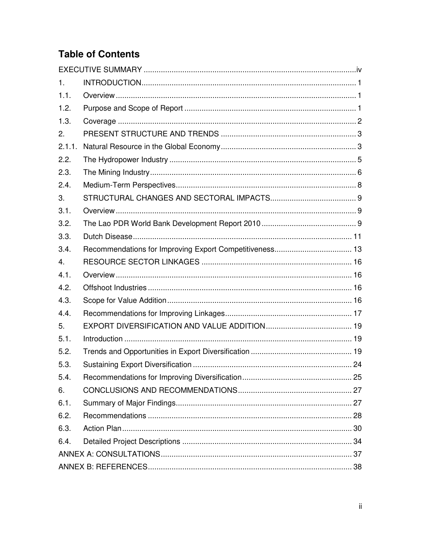## **Table of Contents**

| $\mathbf{1}_{-}$ |  |
|------------------|--|
| 1.1.             |  |
| 1.2.             |  |
| 1.3.             |  |
| 2.               |  |
| 2.1.1.           |  |
| 2.2.             |  |
| 2.3.             |  |
| 2.4.             |  |
| 3.               |  |
| 3.1.             |  |
| 3.2.             |  |
| 3.3.             |  |
| 3.4.             |  |
| 4 <sub>1</sub>   |  |
| 4.1.             |  |
| 4.2.             |  |
| 4.3.             |  |
| 4.4.             |  |
| 5.               |  |
| 5.1.             |  |
| 5.2.             |  |
| 5.3.             |  |
| 5.4.             |  |
| 6.               |  |
| 6.1.             |  |
| 6.2.             |  |
| 6.3.             |  |
| 6.4.             |  |
|                  |  |
|                  |  |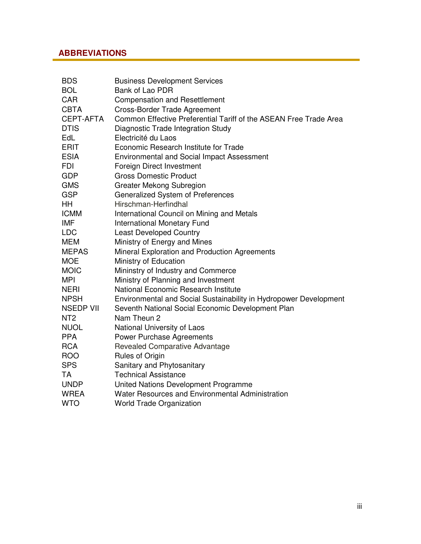### **ABBREVIATIONS**

| <b>BDS</b>       | <b>Business Development Services</b>                              |
|------------------|-------------------------------------------------------------------|
| <b>BOL</b>       | Bank of Lao PDR                                                   |
| <b>CAR</b>       | <b>Compensation and Resettlement</b>                              |
| <b>CBTA</b>      | <b>Cross-Border Trade Agreement</b>                               |
| <b>CEPT-AFTA</b> | Common Effective Preferential Tariff of the ASEAN Free Trade Area |
| <b>DTIS</b>      | Diagnostic Trade Integration Study                                |
| EdL              | Electricité du Laos                                               |
| <b>ERIT</b>      | Economic Research Institute for Trade                             |
| <b>ESIA</b>      | <b>Environmental and Social Impact Assessment</b>                 |
| <b>FDI</b>       | Foreign Direct Investment                                         |
| <b>GDP</b>       | <b>Gross Domestic Product</b>                                     |
| <b>GMS</b>       | <b>Greater Mekong Subregion</b>                                   |
| <b>GSP</b>       | Generalized System of Preferences                                 |
| HH               | Hirschman-Herfindhal                                              |
| <b>ICMM</b>      | International Council on Mining and Metals                        |
| <b>IMF</b>       | <b>International Monetary Fund</b>                                |
| <b>LDC</b>       | <b>Least Developed Country</b>                                    |
| <b>MEM</b>       | Ministry of Energy and Mines                                      |
| <b>MEPAS</b>     | Mineral Exploration and Production Agreements                     |
| <b>MOE</b>       | Ministry of Education                                             |
| <b>MOIC</b>      | Mininstry of Industry and Commerce                                |
| <b>MPI</b>       | Ministry of Planning and Investment                               |
| <b>NERI</b>      | National Economic Research Institute                              |
| <b>NPSH</b>      | Environmental and Social Sustainability in Hydropower Development |
| <b>NSEDP VII</b> | Seventh National Social Economic Development Plan                 |
| NT <sub>2</sub>  | Nam Theun 2                                                       |
| <b>NUOL</b>      | National University of Laos                                       |
| <b>PPA</b>       | Power Purchase Agreements                                         |
| <b>RCA</b>       | Revealed Comparative Advantage                                    |
| <b>ROO</b>       | Rules of Origin                                                   |
| <b>SPS</b>       | Sanitary and Phytosanitary                                        |
| <b>TA</b>        | <b>Technical Assistance</b>                                       |
| <b>UNDP</b>      | United Nations Development Programme                              |
| <b>WREA</b>      | Water Resources and Environmental Administration                  |
| <b>WTO</b>       | <b>World Trade Organization</b>                                   |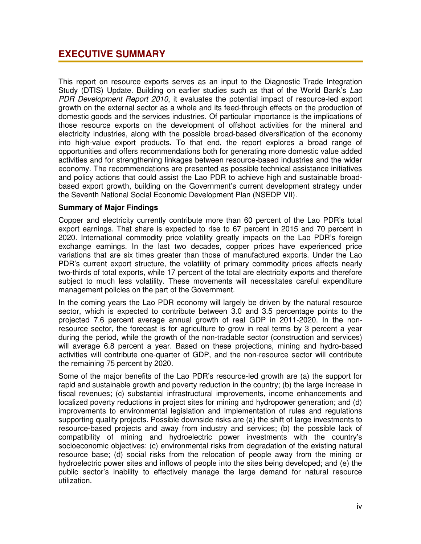### **EXECUTIVE SUMMARY**

This report on resource exports serves as an input to the Diagnostic Trade Integration Study (DTIS) Update. Building on earlier studies such as that of the World Bank's *Lao PDR Development Report 2010*, it evaluates the potential impact of resource-led export growth on the external sector as a whole and its feed-through effects on the production of domestic goods and the services industries. Of particular importance is the implications of those resource exports on the development of offshoot activities for the mineral and electricity industries, along with the possible broad-based diversification of the economy into high-value export products. To that end, the report explores a broad range of opportunities and offers recommendations both for generating more domestic value added activities and for strengthening linkages between resource-based industries and the wider economy. The recommendations are presented as possible technical assistance initiatives and policy actions that could assist the Lao PDR to achieve high and sustainable broadbased export growth, building on the Government's current development strategy under the Seventh National Social Economic Development Plan (NSEDP VII).

#### **Summary of Major Findings**

Copper and electricity currently contribute more than 60 percent of the Lao PDR's total export earnings. That share is expected to rise to 67 percent in 2015 and 70 percent in 2020. International commodity price volatility greatly impacts on the Lao PDR's foreign exchange earnings. In the last two decades, copper prices have experienced price variations that are six times greater than those of manufactured exports. Under the Lao PDR's current export structure, the volatility of primary commodity prices affects nearly two-thirds of total exports, while 17 percent of the total are electricity exports and therefore subject to much less volatility. These movements will necessitates careful expenditure management policies on the part of the Government.

In the coming years the Lao PDR economy will largely be driven by the natural resource sector, which is expected to contribute between 3.0 and 3.5 percentage points to the projected 7.6 percent average annual growth of real GDP in 2011-2020. In the nonresource sector, the forecast is for agriculture to grow in real terms by 3 percent a year during the period, while the growth of the non-tradable sector (construction and services) will average 6.8 percent a year. Based on these projections, mining and hydro-based activities will contribute one-quarter of GDP, and the non-resource sector will contribute the remaining 75 percent by 2020.

Some of the major benefits of the Lao PDR's resource-led growth are (a) the support for rapid and sustainable growth and poverty reduction in the country; (b) the large increase in fiscal revenues; (c) substantial infrastructural improvements, income enhancements and localized poverty reductions in project sites for mining and hydropower generation; and (d) improvements to environmental legislation and implementation of rules and regulations supporting quality projects. Possible downside risks are (a) the shift of large investments to resource-based projects and away from industry and services; (b) the possible lack of compatibility of mining and hydroelectric power investments with the country's socioeconomic objectives; (c) environmental risks from degradation of the existing natural resource base; (d) social risks from the relocation of people away from the mining or hydroelectric power sites and inflows of people into the sites being developed; and (e) the public sector's inability to effectively manage the large demand for natural resource utilization.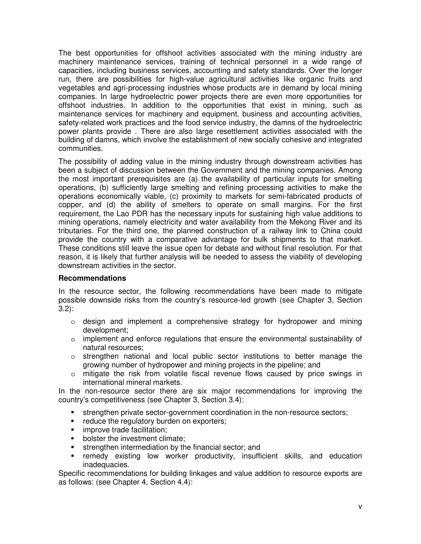The best opportunities for offshoot activities associated with the mining industry are machinery maintenance services, training of technical personnel in a wide range of capacities, including business services, accounting and safety standards. Over the longer run, there are possibilities for high-value agricultural activities like organic fruits and vegetables and agri-processing industries whose products are in demand by local mining companies. In large hydroelectric power projects there are even more opportunities for offshoot industries. In addition to the opportunities that exist in mining, such as maintenance services for machinery and equipment, business and accounting activities, safety-related work practices and the food service industry, the damns of the hydroelectric power plants provide . There are also large resettlement activities associated with the building of damns, which involve the establishment of new socially cohesive and integrated communities.

The possibility of adding value in the mining industry through downstream activities has been a subject of discussion between the Government and the mining companies. Among the most important prerequisites are (a) the availability of particular inputs for smelting operations, (b) sufficiently large smelting and refining processing activities to make the operations economically viable, (c) proximity to markets for semi-fabricated products of copper, and (d) the ability of smelters to operate on small margins. For the first requirement, the Lao PDR has the necessary inputs for sustaining high value additions to mining operations, namely electricity and water availability from the Mekong River and its tributaries. For the third one, the planned construction of a railway link to China could provide the country with a comparative advantage for bulk shipments to that market. These conditions still leave the issue open for debate and without final resolution. For that reason, it is likely that further analysis will be needed to assess the viability of developing downstream activities in the sector.

#### **Recommendations**

In the resource sector, the following recommendations have been made to mitigate possible downside risks from the country's resource-led growth (see Chapter 3, Section 3.2):

- $\circ$  design and implement a comprehensive strategy for hydropower and mining development;
- $\circ$  implement and enforce regulations that ensure the environmental sustainability of natural resources;
- $\circ$  strengthen national and local public sector institutions to better manage the growing number of hydropower and mining projects in the pipeline; and
- o mitigate the risk from volatile fiscal revenue flows caused by price swings in international mineral markets.

In the non-resource sector there are six major recommendations for improving the country's competitiveness (see Chapter 3, Section 3.4):

- strengthen private sector-government coordination in the non-resource sectors;
- **•** reduce the regulatory burden on exporters;
- **F** improve trade facilitation:
- **bolster the investment climate;**
- strengthen intermediation by the financial sector; and
- remedy existing low worker productivity, insufficient skills, and education inadequacies.

Specific recommendations for building linkages and value addition to resource exports are as follows: (see Chapter 4, Section 4.4):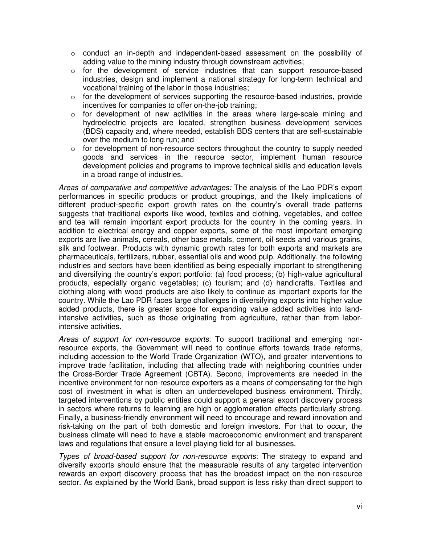- o conduct an in-depth and independent-based assessment on the possibility of adding value to the mining industry through downstream activities;
- $\circ$  for the development of service industries that can support resource-based industries, design and implement a national strategy for long-term technical and vocational training of the labor in those industries;
- o for the development of services supporting the resource-based industries, provide incentives for companies to offer on-the-job training;
- o for development of new activities in the areas where large-scale mining and hydroelectric projects are located, strengthen business development services (BDS) capacity and, where needed, establish BDS centers that are self-sustainable over the medium to long run; and
- $\circ$  for development of non-resource sectors throughout the country to supply needed goods and services in the resource sector, implement human resource development policies and programs to improve technical skills and education levels in a broad range of industries.

*Areas of comparative and competitive advantages:* The analysis of the Lao PDR's export performances in specific products or product groupings, and the likely implications of different product-specific export growth rates on the country's overall trade patterns suggests that traditional exports like wood, textiles and clothing, vegetables, and coffee and tea will remain important export products for the country in the coming years. In addition to electrical energy and copper exports, some of the most important emerging exports are live animals, cereals, other base metals, cement, oil seeds and various grains, silk and footwear. Products with dynamic growth rates for both exports and markets are pharmaceuticals, fertilizers, rubber, essential oils and wood pulp. Additionally, the following industries and sectors have been identified as being especially important to strengthening and diversifying the country's export portfolio: (a) food process; (b) high-value agricultural products, especially organic vegetables; (c) tourism; and (d) handicrafts. Textiles and clothing along with wood products are also likely to continue as important exports for the country. While the Lao PDR faces large challenges in diversifying exports into higher value added products, there is greater scope for expanding value added activities into landintensive activities, such as those originating from agriculture, rather than from laborintensive activities.

*Areas of support for non-resource exports*: To support traditional and emerging nonresource exports, the Government will need to continue efforts towards trade reforms, including accession to the World Trade Organization (WTO), and greater interventions to improve trade facilitation, including that affecting trade with neighboring countries under the Cross-Border Trade Agreement (CBTA). Second, improvements are needed in the incentive environment for non-resource exporters as a means of compensating for the high cost of investment in what is often an underdeveloped business environment. Thirdly, targeted interventions by public entities could support a general export discovery process in sectors where returns to learning are high or agglomeration effects particularly strong. Finally, a business-friendly environment will need to encourage and reward innovation and risk-taking on the part of both domestic and foreign investors. For that to occur, the business climate will need to have a stable macroeconomic environment and transparent laws and regulations that ensure a level playing field for all businesses.

*Types of broad-based support for non-resource exports*: The strategy to expand and diversify exports should ensure that the measurable results of any targeted intervention rewards an export discovery process that has the broadest impact on the non-resource sector. As explained by the World Bank, broad support is less risky than direct support to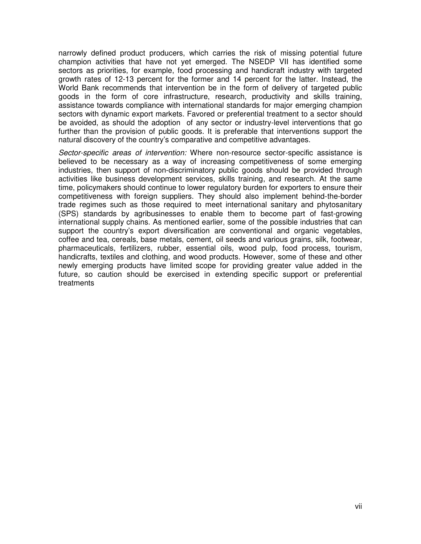narrowly defined product producers, which carries the risk of missing potential future champion activities that have not yet emerged. The NSEDP VII has identified some sectors as priorities, for example, food processing and handicraft industry with targeted growth rates of 12-13 percent for the former and 14 percent for the latter. Instead, the World Bank recommends that intervention be in the form of delivery of targeted public goods in the form of core infrastructure, research, productivity and skills training, assistance towards compliance with international standards for major emerging champion sectors with dynamic export markets. Favored or preferential treatment to a sector should be avoided, as should the adoption of any sector or industry-level interventions that go further than the provision of public goods. It is preferable that interventions support the natural discovery of the country's comparative and competitive advantages.

*Sector-specific areas of intervention:* Where non-resource sector-specific assistance is believed to be necessary as a way of increasing competitiveness of some emerging industries, then support of non-discriminatory public goods should be provided through activities like business development services, skills training, and research. At the same time, policymakers should continue to lower regulatory burden for exporters to ensure their competitiveness with foreign suppliers. They should also implement behind-the-border trade regimes such as those required to meet international sanitary and phytosanitary (SPS) standards by agribusinesses to enable them to become part of fast-growing international supply chains. As mentioned earlier, some of the possible industries that can support the country's export diversification are conventional and organic vegetables, coffee and tea, cereals, base metals, cement, oil seeds and various grains, silk, footwear, pharmaceuticals, fertilizers, rubber, essential oils, wood pulp, food process, tourism, handicrafts, textiles and clothing, and wood products. However, some of these and other newly emerging products have limited scope for providing greater value added in the future, so caution should be exercised in extending specific support or preferential treatments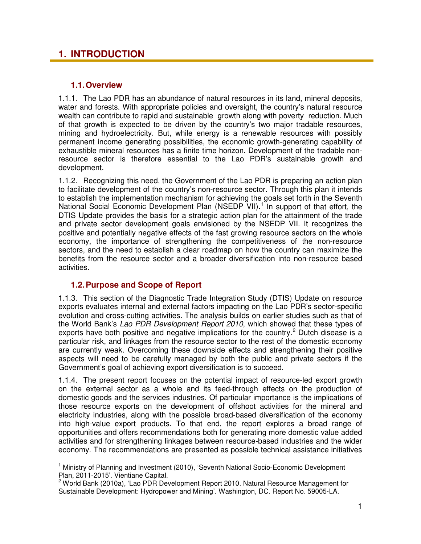### **1. INTRODUCTION**

### **1.1.Overview**

1.1.1. The Lao PDR has an abundance of natural resources in its land, mineral deposits, water and forests. With appropriate policies and oversight, the country's natural resource wealth can contribute to rapid and sustainable growth along with poverty reduction. Much of that growth is expected to be driven by the country's two major tradable resources, mining and hydroelectricity. But, while energy is a renewable resources with possibly permanent income generating possibilities, the economic growth-generating capability of exhaustible mineral resources has a finite time horizon. Development of the tradable nonresource sector is therefore essential to the Lao PDR's sustainable growth and development.

1.1.2. Recognizing this need, the Government of the Lao PDR is preparing an action plan to facilitate development of the country's non-resource sector. Through this plan it intends to establish the implementation mechanism for achieving the goals set forth in the Seventh National Social Economic Development Plan (NSEDP VII).<sup>[1](#page-8-0)</sup> In support of that effort, the DTIS Update provides the basis for a strategic action plan for the attainment of the trade and private sector development goals envisioned by the NSEDP VII. It recognizes the positive and potentially negative effects of the fast growing resource sectors on the whole economy, the importance of strengthening the competitiveness of the non-resource sectors, and the need to establish a clear roadmap on how the country can maximize the benefits from the resource sector and a broader diversification into non-resource based activities.

### **1.2.Purpose and Scope of Report**

 $\overline{1}$ 

1.1.3. This section of the Diagnostic Trade Integration Study (DTIS) Update on resource exports evaluates internal and external factors impacting on the Lao PDR's sector-specific evolution and cross-cutting activities. The analysis builds on earlier studies such as that of the World Bank's *Lao PDR Development Report 2010*, which showed that these types of exports have both positive and negative implications for the country.<sup>[2](#page-8-1)</sup> Dutch disease is a particular risk, and linkages from the resource sector to the rest of the domestic economy are currently weak. Overcoming these downside effects and strengthening their positive aspects will need to be carefully managed by both the public and private sectors if the Government's goal of achieving export diversification is to succeed.

1.1.4. The present report focuses on the potential impact of resource-led export growth on the external sector as a whole and its feed-through effects on the production of domestic goods and the services industries. Of particular importance is the implications of those resource exports on the development of offshoot activities for the mineral and electricity industries, along with the possible broad-based diversification of the economy into high-value export products. To that end, the report explores a broad range of opportunities and offers recommendations both for generating more domestic value added activities and for strengthening linkages between resource-based industries and the wider economy. The recommendations are presented as possible technical assistance initiatives

<span id="page-8-0"></span><sup>&</sup>lt;sup>1</sup> Ministry of Planning and Investment (2010), 'Seventh National Socio-Economic Development Plan, 2011-2015'. Vientiane Capital.

<span id="page-8-1"></span><sup>2</sup> World Bank (2010a), 'Lao PDR Development Report 2010. Natural Resource Management for Sustainable Development: Hydropower and Mining'. Washington, DC. Report No. 59005-LA.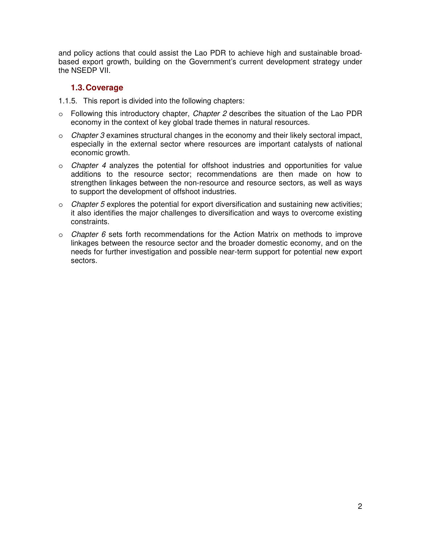and policy actions that could assist the Lao PDR to achieve high and sustainable broadbased export growth, building on the Government's current development strategy under the NSEDP VII.

### **1.3.Coverage**

- 1.1.5. This report is divided into the following chapters:
- o Following this introductory chapter, *Chapter 2* describes the situation of the Lao PDR economy in the context of key global trade themes in natural resources.
- o *Chapter 3* examines structural changes in the economy and their likely sectoral impact, especially in the external sector where resources are important catalysts of national economic growth.
- o *Chapter 4* analyzes the potential for offshoot industries and opportunities for value additions to the resource sector; recommendations are then made on how to strengthen linkages between the non-resource and resource sectors, as well as ways to support the development of offshoot industries.
- o *Chapter 5* explores the potential for export diversification and sustaining new activities; it also identifies the major challenges to diversification and ways to overcome existing constraints.
- o *Chapter 6* sets forth recommendations for the Action Matrix on methods to improve linkages between the resource sector and the broader domestic economy, and on the needs for further investigation and possible near-term support for potential new export sectors.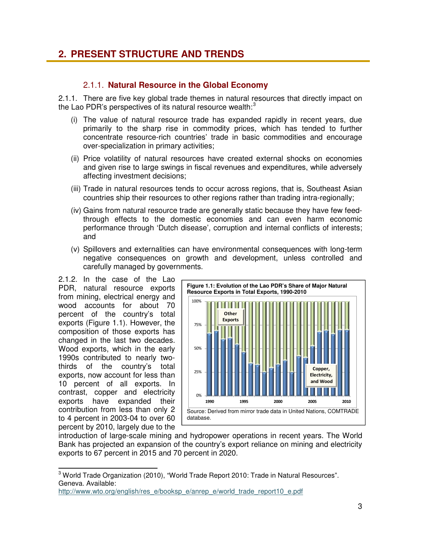### **2. PRESENT STRUCTURE AND TRENDS**

### 2.1.1. **Natural Resource in the Global Economy**

2.1.1. There are five key global trade themes in natural resources that directly impact on the Lao PDR's perspectives of its natural resource wealth: $3$ 

- (i) The value of natural resource trade has expanded rapidly in recent years, due primarily to the sharp rise in commodity prices, which has tended to further concentrate resource-rich countries' trade in basic commodities and encourage over-specialization in primary activities;
- (ii) Price volatility of natural resources have created external shocks on economies and given rise to large swings in fiscal revenues and expenditures, while adversely affecting investment decisions;
- (iii) Trade in natural resources tends to occur across regions, that is, Southeast Asian countries ship their resources to other regions rather than trading intra-regionally;
- (iv) Gains from natural resource trade are generally static because they have few feedthrough effects to the domestic economies and can even harm economic performance through 'Dutch disease', corruption and internal conflicts of interests; and
- (v) Spillovers and externalities can have environmental consequences with long-term negative consequences on growth and development, unless controlled and carefully managed by governments.

2.1.2. In the case of the Lao PDR, natural resource exports from mining, electrical energy and wood accounts for about 70 percent of the country's total exports (Figure 1.1). However, the composition of those exports has changed in the last two decades. Wood exports, which in the early 1990s contributed to nearly twothirds of the country's total exports, now account for less than 10 percent of all exports. In contrast, copper and electricity exports have expanded their contribution from less than only 2 to 4 percent in 2003-04 to over 60 percent by 2010, largely due to the

 $\overline{a}$ 



introduction of large-scale mining and hydropower operations in recent years. The World Bank has projected an expansion of the country's export reliance on mining and electricity exports to 67 percent in 2015 and 70 percent in 2020.

<span id="page-10-0"></span> $^3$  World Trade Organization (2010), "World Trade Report 2010: Trade in Natural Resources". Geneva. Available:

http://www.wto.org/english/res\_e/booksp\_e/anrep\_e/world\_trade\_report10\_e.pdf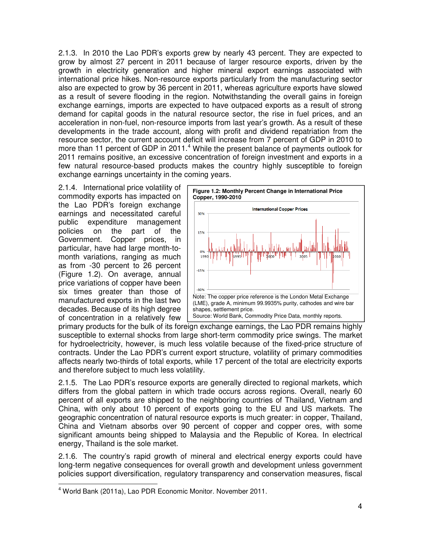2.1.3. In 2010 the Lao PDR's exports grew by nearly 43 percent. They are expected to grow by almost 27 percent in 2011 because of larger resource exports, driven by the growth in electricity generation and higher mineral export earnings associated with international price hikes. Non-resource exports particularly from the manufacturing sector also are expected to grow by 36 percent in 2011, whereas agriculture exports have slowed as a result of severe flooding in the region. Notwithstanding the overall gains in foreign exchange earnings, imports are expected to have outpaced exports as a result of strong demand for capital goods in the natural resource sector, the rise in fuel prices, and an acceleration in non-fuel, non-resource imports from last year's growth. As a result of these developments in the trade account, along with profit and dividend repatriation from the resource sector, the current account deficit will increase from 7 percent of GDP in 2010 to more than 11 percent of GDP in 2011.<sup>[4](#page-11-0)</sup> While the present balance of payments outlook for 2011 remains positive, an excessive concentration of foreign investment and exports in a few natural resource-based products makes the country highly susceptible to foreign exchange earnings uncertainty in the coming years.

2.1.4. International price volatility of commodity exports has impacted on the Lao PDR's foreign exchange earnings and necessitated careful public expenditure management policies on the part of the Government. Copper prices, in particular, have had large month-tomonth variations, ranging as much as from -30 percent to 26 percent (Figure 1.2). On average, annual price variations of copper have been six times greater than those of manufactured exports in the last two decades. Because of its high degree of concentration in a relatively few



primary products for the bulk of its foreign exchange earnings, the Lao PDR remains highly susceptible to external shocks from large short-term commodity price swings. The market for hydroelectricity, however, is much less volatile because of the fixed-price structure of contracts. Under the Lao PDR's current export structure, volatility of primary commodities affects nearly two-thirds of total exports, while 17 percent of the total are electricity exports and therefore subject to much less volatility.

2.1.5. The Lao PDR's resource exports are generally directed to regional markets, which differs from the global pattern in which trade occurs across regions. Overall, nearly 60 percent of all exports are shipped to the neighboring countries of Thailand, Vietnam and China, with only about 10 percent of exports going to the EU and US markets. The geographic concentration of natural resource exports is much greater: in copper, Thailand, China and Vietnam absorbs over 90 percent of copper and copper ores, with some significant amounts being shipped to Malaysia and the Republic of Korea. In electrical energy, Thailand is the sole market.

2.1.6. The country's rapid growth of mineral and electrical energy exports could have long-term negative consequences for overall growth and development unless government policies support diversification, regulatory transparency and conservation measures, fiscal

 $\overline{a}$ 

<span id="page-11-0"></span><sup>&</sup>lt;sup>4</sup> World Bank (2011a), Lao PDR Economic Monitor. November 2011.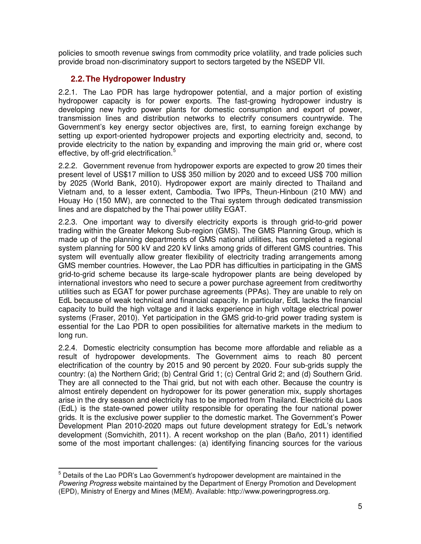policies to smooth revenue swings from commodity price volatility, and trade policies such provide broad non-discriminatory support to sectors targeted by the NSEDP VII.

### **2.2.The Hydropower Industry**

2.2.1. The Lao PDR has large hydropower potential, and a major portion of existing hydropower capacity is for power exports. The fast-growing hydropower industry is developing new hydro power plants for domestic consumption and export of power, transmission lines and distribution networks to electrify consumers countrywide. The Government's key energy sector objectives are, first, to earning foreign exchange by setting up export-oriented hydropower projects and exporting electricity and, second, to provide electricity to the nation by expanding and improving the main grid or, where cost effective, by off-grid electrification.<sup>[5](#page-12-0)</sup>

2.2.2. Government revenue from hydropower exports are expected to grow 20 times their present level of US\$17 million to US\$ 350 million by 2020 and to exceed US\$ 700 million by 2025 (World Bank, 2010). Hydropower export are mainly directed to Thailand and Vietnam and, to a lesser extent, Cambodia. Two IPPs, Theun-Hinboun (210 MW) and Houay Ho (150 MW), are connected to the Thai system through dedicated transmission lines and are dispatched by the Thai power utility EGAT.

2.2.3. One important way to diversify electricity exports is through grid-to-grid power trading within the Greater Mekong Sub-region (GMS). The GMS Planning Group, which is made up of the planning departments of GMS national utilities, has completed a regional system planning for 500 kV and 220 kV links among grids of different GMS countries. This system will eventually allow greater flexibility of electricity trading arrangements among GMS member countries. However, the Lao PDR has difficulties in participating in the GMS grid-to-grid scheme because its large-scale hydropower plants are being developed by international investors who need to secure a power purchase agreement from creditworthy utilities such as EGAT for power purchase agreements (PPAs). They are unable to rely on EdL because of weak technical and financial capacity. In particular, EdL lacks the financial capacity to build the high voltage and it lacks experience in high voltage electrical power systems (Fraser, 2010). Yet participation in the GMS grid-to-grid power trading system is essential for the Lao PDR to open possibilities for alternative markets in the medium to long run.

2.2.4. Domestic electricity consumption has become more affordable and reliable as a result of hydropower developments. The Government aims to reach 80 percent electrification of the country by 2015 and 90 percent by 2020. Four sub-grids supply the country: (a) the Northern Grid; (b) Central Grid 1; (c) Central Grid 2; and (d) Southern Grid. They are all connected to the Thai grid, but not with each other. Because the country is almost entirely dependent on hydropower for its power generation mix, supply shortages arise in the dry season and electricity has to be imported from Thailand. Electricité du Laos (EdL) is the state-owned power utility responsible for operating the four national power grids. It is the exclusive power supplier to the domestic market. The Government's Power Development Plan 2010-2020 maps out future development strategy for EdL's network development (Somvichith, 2011). A recent workshop on the plan (Baño, 2011) identified some of the most important challenges: (a) identifying financing sources for the various

<span id="page-12-0"></span> $\overline{a}$  $<sup>5</sup>$  Details of the Lao PDR's Lao Government's hydropower development are maintained in the</sup> *Powering Progress* website maintained by the Department of Energy Promotion and Development (EPD), Ministry of Energy and Mines (MEM). Available: http://www.poweringprogress.org.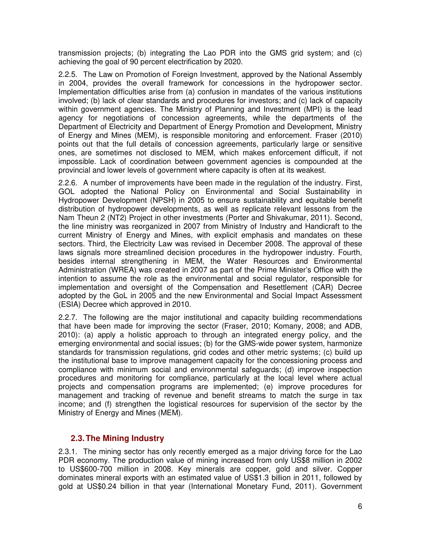transmission projects; (b) integrating the Lao PDR into the GMS grid system; and (c) achieving the goal of 90 percent electrification by 2020.

2.2.5. The Law on Promotion of Foreign Investment, approved by the National Assembly in 2004, provides the overall framework for concessions in the hydropower sector. Implementation difficulties arise from (a) confusion in mandates of the various institutions involved; (b) lack of clear standards and procedures for investors; and (c) lack of capacity within government agencies. The Ministry of Planning and Investment (MPI) is the lead agency for negotiations of concession agreements, while the departments of the Department of Electricity and Department of Energy Promotion and Development, Ministry of Energy and Mines (MEM), is responsible monitoring and enforcement. Fraser (2010) points out that the full details of concession agreements, particularly large or sensitive ones, are sometimes not disclosed to MEM, which makes enforcement difficult, if not impossible. Lack of coordination between government agencies is compounded at the provincial and lower levels of government where capacity is often at its weakest.

2.2.6. A number of improvements have been made in the regulation of the industry. First, GOL adopted the National Policy on Environmental and Social Sustainability in Hydropower Development (NPSH) in 2005 to ensure sustainability and equitable benefit distribution of hydropower developments, as well as replicate relevant lessons from the Nam Theun 2 (NT2) Project in other investments (Porter and Shivakumar, 2011). Second, the line ministry was reorganized in 2007 from Ministry of Industry and Handicraft to the current Ministry of Energy and Mines, with explicit emphasis and mandates on these sectors. Third, the Electricity Law was revised in December 2008. The approval of these laws signals more streamlined decision procedures in the hydropower industry. Fourth, besides internal strengthening in MEM, the Water Resources and Environmental Administration (WREA) was created in 2007 as part of the Prime Minister's Office with the intention to assume the role as the environmental and social regulator, responsible for implementation and oversight of the Compensation and Resettlement (CAR) Decree adopted by the GoL in 2005 and the new Environmental and Social Impact Assessment (ESIA) Decree which approved in 2010.

2.2.7. The following are the major institutional and capacity building recommendations that have been made for improving the sector (Fraser, 2010; Komany, 2008; and ADB, 2010): (a) apply a holistic approach to through an integrated energy policy, and the emerging environmental and social issues; (b) for the GMS-wide power system, harmonize standards for transmission regulations, grid codes and other metric systems; (c) build up the institutional base to improve management capacity for the concessioning process and compliance with minimum social and environmental safeguards; (d) improve inspection procedures and monitoring for compliance, particularly at the local level where actual projects and compensation programs are implemented; (e) improve procedures for management and tracking of revenue and benefit streams to match the surge in tax income; and (f) strengthen the logistical resources for supervision of the sector by the Ministry of Energy and Mines (MEM).

#### **2.3.The Mining Industry**

2.3.1. The mining sector has only recently emerged as a major driving force for the Lao PDR economy. The production value of mining increased from only US\$8 million in 2002 to US\$600-700 million in 2008. Key minerals are copper, gold and silver. Copper dominates mineral exports with an estimated value of US\$1.3 billion in 2011, followed by gold at US\$0.24 billion in that year (International Monetary Fund, 2011). Government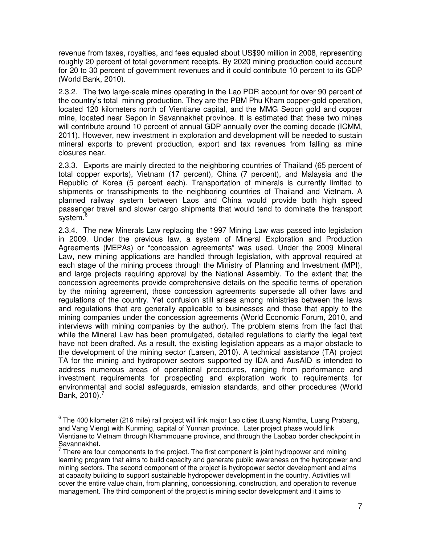revenue from taxes, royalties, and fees equaled about US\$90 million in 2008, representing roughly 20 percent of total government receipts. By 2020 mining production could account for 20 to 30 percent of government revenues and it could contribute 10 percent to its GDP (World Bank, 2010).

2.3.2. The two large-scale mines operating in the Lao PDR account for over 90 percent of the country's total mining production. They are the PBM Phu Kham copper-gold operation, located 120 kilometers north of Vientiane capital, and the MMG Sepon gold and copper mine, located near Sepon in Savannakhet province. It is estimated that these two mines will contribute around 10 percent of annual GDP annually over the coming decade (ICMM, 2011). However, new investment in exploration and development will be needed to sustain mineral exports to prevent production, export and tax revenues from falling as mine closures near.

2.3.3. Exports are mainly directed to the neighboring countries of Thailand (65 percent of total copper exports), Vietnam (17 percent), China (7 percent), and Malaysia and the Republic of Korea (5 percent each). Transportation of minerals is currently limited to shipments or transshipments to the neighboring countries of Thailand and Vietnam. A planned railway system between Laos and China would provide both high speed passenger travel and slower cargo shipments that would tend to dominate the transport system.<sup>[6](#page-14-0)</sup>

2.3.4. The new Minerals Law replacing the 1997 Mining Law was passed into legislation in 2009. Under the previous law, a system of Mineral Exploration and Production Agreements (MEPAs) or "concession agreements" was used. Under the 2009 Mineral Law, new mining applications are handled through legislation, with approval required at each stage of the mining process through the Ministry of Planning and Investment (MPI), and large projects requiring approval by the National Assembly. To the extent that the concession agreements provide comprehensive details on the specific terms of operation by the mining agreement, those concession agreements supersede all other laws and regulations of the country. Yet confusion still arises among ministries between the laws and regulations that are generally applicable to businesses and those that apply to the mining companies under the concession agreements (World Economic Forum, 2010, and interviews with mining companies by the author). The problem stems from the fact that while the Mineral Law has been promulgated, detailed regulations to clarify the legal text have not been drafted. As a result, the existing legislation appears as a major obstacle to the development of the mining sector (Larsen, 2010). A technical assistance (TA) project TA for the mining and hydropower sectors supported by IDA and AusAID is intended to address numerous areas of operational procedures, ranging from performance and investment requirements for prospecting and exploration work to requirements for environmental and social safeguards, emission standards, and other procedures (World Bank, 2010).<sup>[7](#page-14-1)</sup>

<span id="page-14-0"></span>j <sup>6</sup> The 400 kilometer (216 mile) rail project will link major Lao cities (Luang Namtha, Luang Prabang, and Vang Vieng) with Kunming, capital of Yunnan province. Later project phase would link Vientiane to Vietnam through Khammouane province, and through the Laobao border checkpoint in Savannakhet.

<span id="page-14-1"></span> $<sup>7</sup>$  There are four components to the project. The first component is joint hydropower and mining</sup> learning program that aims to build capacity and generate public awareness on the hydropower and mining sectors. The second component of the project is hydropower sector development and aims at capacity building to support sustainable hydropower development in the country. Activities will cover the entire value chain, from planning, concessioning, construction, and operation to revenue management. The third component of the project is mining sector development and it aims to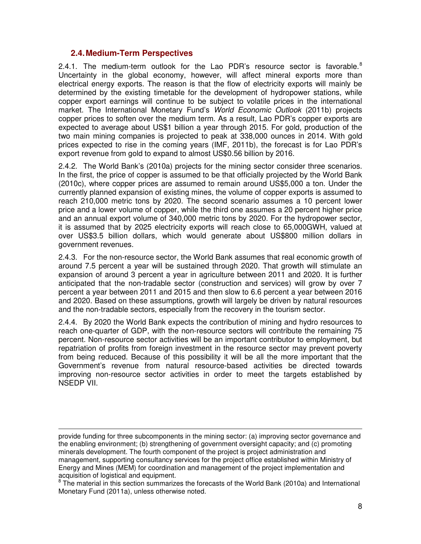#### **2.4.Medium-Term Perspectives**

-

2.4.1. The medium-term outlook for the Lao PDR's resource sector is favorable. $8$ Uncertainty in the global economy, however, will affect mineral exports more than electrical energy exports. The reason is that the flow of electricity exports will mainly be determined by the existing timetable for the development of hydropower stations, while copper export earnings will continue to be subject to volatile prices in the international market. The International Monetary Fund's *World Economic Outlook* (2011b) projects copper prices to soften over the medium term. As a result, Lao PDR's copper exports are expected to average about US\$1 billion a year through 2015. For gold, production of the two main mining companies is projected to peak at 338,000 ounces in 2014. With gold prices expected to rise in the coming years (IMF, 2011b), the forecast is for Lao PDR's export revenue from gold to expand to almost US\$0.56 billion by 2016.

2.4.2. The World Bank's (2010a) projects for the mining sector consider three scenarios. In the first, the price of copper is assumed to be that officially projected by the World Bank (2010c), where copper prices are assumed to remain around US\$5,000 a ton. Under the currently planned expansion of existing mines, the volume of copper exports is assumed to reach 210,000 metric tons by 2020. The second scenario assumes a 10 percent lower price and a lower volume of copper, while the third one assumes a 20 percent higher price and an annual export volume of 340,000 metric tons by 2020. For the hydropower sector, it is assumed that by 2025 electricity exports will reach close to 65,000GWH, valued at over US\$3.5 billion dollars, which would generate about US\$800 million dollars in government revenues.

2.4.3. For the non-resource sector, the World Bank assumes that real economic growth of around 7.5 percent a year will be sustained through 2020. That growth will stimulate an expansion of around 3 percent a year in agriculture between 2011 and 2020. It is further anticipated that the non-tradable sector (construction and services) will grow by over 7 percent a year between 2011 and 2015 and then slow to 6.6 percent a year between 2016 and 2020. Based on these assumptions, growth will largely be driven by natural resources and the non-tradable sectors, especially from the recovery in the tourism sector.

2.4.4. By 2020 the World Bank expects the contribution of mining and hydro resources to reach one-quarter of GDP, with the non-resource sectors will contribute the remaining 75 percent. Non-resource sector activities will be an important contributor to employment, but repatriation of profits from foreign investment in the resource sector may prevent poverty from being reduced. Because of this possibility it will be all the more important that the Government's revenue from natural resource-based activities be directed towards improving non-resource sector activities in order to meet the targets established by NSEDP VII.

provide funding for three subcomponents in the mining sector: (a) improving sector governance and the enabling environment; (b) strengthening of government oversight capacity; and (c) promoting minerals development. The fourth component of the project is project administration and management, supporting consultancy services for the project office established within Ministry of Energy and Mines (MEM) for coordination and management of the project implementation and

<span id="page-15-0"></span>acquisition of logistical and equipment.<br><sup>8</sup> The material in this section summarizes the forecasts of the World Bank (2010a) and International Monetary Fund (2011a), unless otherwise noted.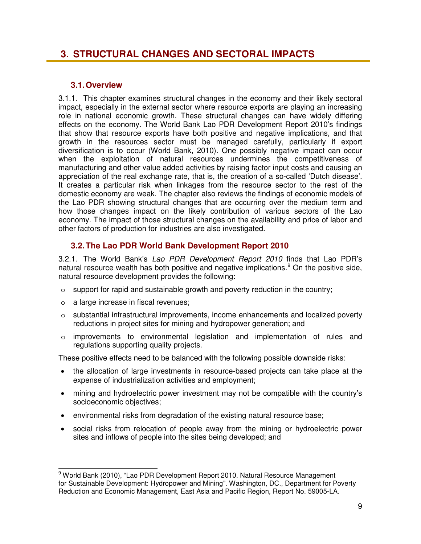### **3. STRUCTURAL CHANGES AND SECTORAL IMPACTS**

### **3.1.Overview**

3.1.1. This chapter examines structural changes in the economy and their likely sectoral impact, especially in the external sector where resource exports are playing an increasing role in national economic growth. These structural changes can have widely differing effects on the economy. The World Bank Lao PDR Development Report 2010's findings that show that resource exports have both positive and negative implications, and that growth in the resources sector must be managed carefully, particularly if export diversification is to occur (World Bank, 2010). One possibly negative impact can occur when the exploitation of natural resources undermines the competitiveness of manufacturing and other value added activities by raising factor input costs and causing an appreciation of the real exchange rate, that is, the creation of a so-called 'Dutch disease'. It creates a particular risk when linkages from the resource sector to the rest of the domestic economy are weak. The chapter also reviews the findings of economic models of the Lao PDR showing structural changes that are occurring over the medium term and how those changes impact on the likely contribution of various sectors of the Lao economy. The impact of those structural changes on the availability and price of labor and other factors of production for industries are also investigated.

### **3.2.The Lao PDR World Bank Development Report 2010**

3.2.1. The World Bank's *Lao PDR Development Report 2010* finds that Lao PDR's natural resource wealth has both positive and negative implications.<sup>[9](#page-16-0)</sup> On the positive side, natural resource development provides the following:

- $\circ$  support for rapid and sustainable growth and poverty reduction in the country;
- o a large increase in fiscal revenues;
- o substantial infrastructural improvements, income enhancements and localized poverty reductions in project sites for mining and hydropower generation; and
- o improvements to environmental legislation and implementation of rules and regulations supporting quality projects.

These positive effects need to be balanced with the following possible downside risks:

- the allocation of large investments in resource-based projects can take place at the expense of industrialization activities and employment;
- mining and hydroelectric power investment may not be compatible with the country's socioeconomic objectives;
- environmental risks from degradation of the existing natural resource base;
- social risks from relocation of people away from the mining or hydroelectric power sites and inflows of people into the sites being developed; and

<span id="page-16-0"></span> $\overline{a}$ <sup>9</sup> World Bank (2010), "Lao PDR Development Report 2010. Natural Resource Management for Sustainable Development: Hydropower and Mining". Washington, DC., Department for Poverty Reduction and Economic Management, East Asia and Pacific Region, Report No. 59005-LA.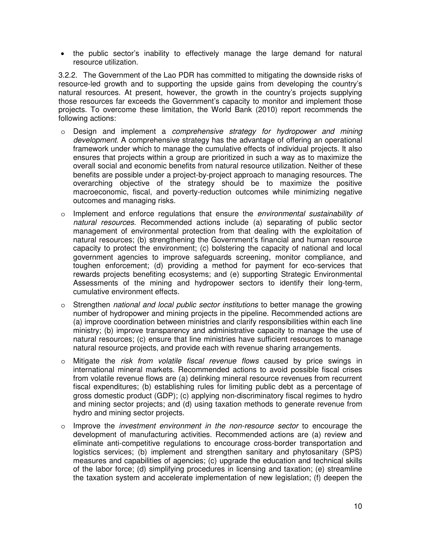• the public sector's inability to effectively manage the large demand for natural resource utilization.

3.2.2. The Government of the Lao PDR has committed to mitigating the downside risks of resource-led growth and to supporting the upside gains from developing the country's natural resources. At present, however, the growth in the country's projects supplying those resources far exceeds the Government's capacity to monitor and implement those projects. To overcome these limitation, the World Bank (2010) report recommends the following actions:

- o Design and implement a *comprehensive strategy for hydropower and mining development.* A comprehensive strategy has the advantage of offering an operational framework under which to manage the cumulative effects of individual projects. It also ensures that projects within a group are prioritized in such a way as to maximize the overall social and economic benefits from natural resource utilization. Neither of these benefits are possible under a project-by-project approach to managing resources. The overarching objective of the strategy should be to maximize the positive macroeconomic, fiscal, and poverty-reduction outcomes while minimizing negative outcomes and managing risks.
- o Implement and enforce regulations that ensure the *environmental sustainability of natural resources*. Recommended actions include (a) separating of public sector management of environmental protection from that dealing with the exploitation of natural resources; (b) strengthening the Government's financial and human resource capacity to protect the environment; (c) bolstering the capacity of national and local government agencies to improve safeguards screening, monitor compliance, and toughen enforcement; (d) providing a method for payment for eco-services that rewards projects benefiting ecosystems; and (e) supporting Strategic Environmental Assessments of the mining and hydropower sectors to identify their long-term, cumulative environment effects.
- o Strengthen *national and local public sector institutions* to better manage the growing number of hydropower and mining projects in the pipeline. Recommended actions are (a) improve coordination between ministries and clarify responsibilities within each line ministry; (b) improve transparency and administrative capacity to manage the use of natural resources; (c) ensure that line ministries have sufficient resources to manage natural resource projects, and provide each with revenue sharing arrangements.
- o Mitigate the *risk from volatile fiscal revenue flows* caused by price swings in international mineral markets. Recommended actions to avoid possible fiscal crises from volatile revenue flows are (a) delinking mineral resource revenues from recurrent fiscal expenditures; (b) establishing rules for limiting public debt as a percentage of gross domestic product (GDP); (c) applying non-discriminatory fiscal regimes to hydro and mining sector projects; and (d) using taxation methods to generate revenue from hydro and mining sector projects.
- o Improve the *investment environment in the non-resource sector* to encourage the development of manufacturing activities. Recommended actions are (a) review and eliminate anti-competitive regulations to encourage cross-border transportation and logistics services; (b) implement and strengthen sanitary and phytosanitary (SPS) measures and capabilities of agencies; (c) upgrade the education and technical skills of the labor force; (d) simplifying procedures in licensing and taxation; (e) streamline the taxation system and accelerate implementation of new legislation; (f) deepen the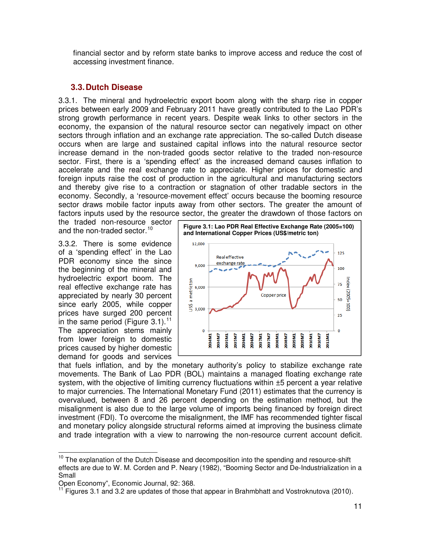financial sector and by reform state banks to improve access and reduce the cost of accessing investment finance.

### **3.3.Dutch Disease**

3.3.1. The mineral and hydroelectric export boom along with the sharp rise in copper prices between early 2009 and February 2011 have greatly contributed to the Lao PDR's strong growth performance in recent years. Despite weak links to other sectors in the economy, the expansion of the natural resource sector can negatively impact on other sectors through inflation and an exchange rate appreciation. The so-called Dutch disease occurs when are large and sustained capital inflows into the natural resource sector increase demand in the non-traded goods sector relative to the traded non-resource sector. First, there is a 'spending effect' as the increased demand causes inflation to accelerate and the real exchange rate to appreciate. Higher prices for domestic and foreign inputs raise the cost of production in the agricultural and manufacturing sectors and thereby give rise to a contraction or stagnation of other tradable sectors in the economy. Secondly, a 'resource-movement effect' occurs because the booming resource sector draws mobile factor inputs away from other sectors. The greater the amount of factors inputs used by the resource sector, the greater the drawdown of those factors on

the traded non-resource sector and the non-traded sector.<sup>[10](#page-18-0)</sup>

3.3.2. There is some evidence of a 'spending effect' in the Lao PDR economy since the since the beginning of the mineral and hydroelectric export boom. The real effective exchange rate has appreciated by nearly 30 percent since early 2005, while copper prices have surged 200 percent in the same period (Figure 3.1).<sup>[11](#page-18-1)</sup> The appreciation stems mainly from lower foreign to domestic prices caused by higher domestic demand for goods and services



that fuels inflation, and by the monetary authority's policy to stabilize exchange rate movements. The Bank of Lao PDR (BOL) maintains a managed floating exchange rate system, with the objective of limiting currency fluctuations within  $\pm 5$  percent a year relative to major currencies. The International Monetary Fund (2011) estimates that the currency is overvalued, between 8 and 26 percent depending on the estimation method, but the misalignment is also due to the large volume of imports being financed by foreign direct investment (FDI). To overcome the misalignment, the IMF has recommended tighter fiscal and monetary policy alongside structural reforms aimed at improving the business climate and trade integration with a view to narrowing the non-resource current account deficit.

<span id="page-18-0"></span>j  $10$  The explanation of the Dutch Disease and decomposition into the spending and resource-shift effects are due to W. M. Corden and P. Neary (1982), "Booming Sector and De-Industrialization in a Small

<span id="page-18-1"></span>Open Economy", Economic Journal, 92: 368.

<sup>11</sup> Figures 3.1 and 3.2 are updates of those that appear in Brahmbhatt and Vostroknutova (2010).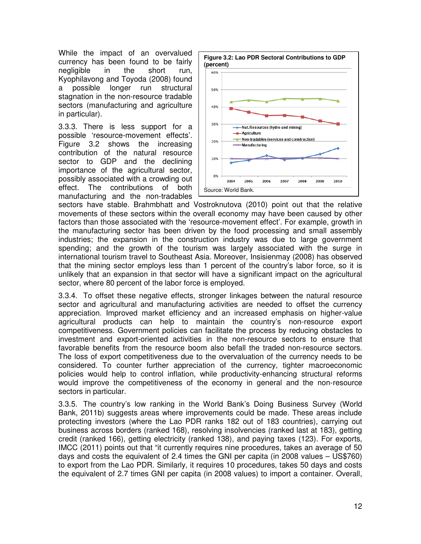While the impact of an overvalued currency has been found to be fairly negligible in the short run, Kyophilavong and Toyoda (2008) found a possible longer run structural stagnation in the non-resource tradable sectors (manufacturing and agriculture in particular).

3.3.3. There is less support for a possible 'resource-movement effects'. Figure 3.2 shows the increasing contribution of the natural resource sector to GDP and the declining importance of the agricultural sector, possibly associated with a crowding out effect. The contributions of both manufacturing and the non-tradables



sectors have stable. Brahmbhatt and Vostroknutova (2010) point out that the relative movements of these sectors within the overall economy may have been caused by other factors than those associated with the 'resource-movement effect'. For example, growth in the manufacturing sector has been driven by the food processing and small assembly industries; the expansion in the construction industry was due to large government spending; and the growth of the tourism was largely associated with the surge in international tourism travel to Southeast Asia. Moreover, Insisienmay (2008) has observed that the mining sector employs less than 1 percent of the country's labor force, so it is unlikely that an expansion in that sector will have a significant impact on the agricultural sector, where 80 percent of the labor force is employed.

3.3.4. To offset these negative effects, stronger linkages between the natural resource sector and agricultural and manufacturing activities are needed to offset the currency appreciation. Improved market efficiency and an increased emphasis on higher-value agricultural products can help to maintain the country's non-resource export competitiveness. Government policies can facilitate the process by reducing obstacles to investment and export-oriented activities in the non-resource sectors to ensure that favorable benefits from the resource boom also befall the traded non-resource sectors. The loss of export competitiveness due to the overvaluation of the currency needs to be considered. To counter further appreciation of the currency, tighter macroeconomic policies would help to control inflation, while productivity-enhancing structural reforms would improve the competitiveness of the economy in general and the non-resource sectors in particular.

3.3.5. The country's low ranking in the World Bank's Doing Business Survey (World Bank, 2011b) suggests areas where improvements could be made. These areas include protecting investors (where the Lao PDR ranks 182 out of 183 countries), carrying out business across borders (ranked 168), resolving insolvencies (ranked last at 183), getting credit (ranked 166), getting electricity (ranked 138), and paying taxes (123). For exports, IMCC (2011) points out that "it currently requires nine procedures, takes an average of 50 days and costs the equivalent of 2.4 times the GNI per capita (in 2008 values – US\$760) to export from the Lao PDR. Similarly, it requires 10 procedures, takes 50 days and costs the equivalent of 2.7 times GNI per capita (in 2008 values) to import a container. Overall,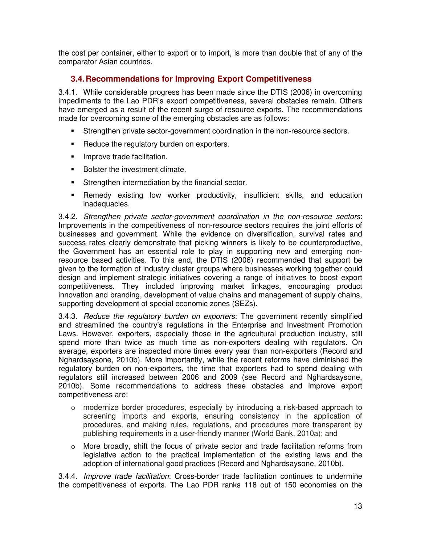the cost per container, either to export or to import, is more than double that of any of the comparator Asian countries.

### **3.4.Recommendations for Improving Export Competitiveness**

3.4.1. While considerable progress has been made since the DTIS (2006) in overcoming impediments to the Lao PDR's export competitiveness, several obstacles remain. Others have emerged as a result of the recent surge of resource exports. The recommendations made for overcoming some of the emerging obstacles are as follows:

- Strengthen private sector-government coordination in the non-resource sectors.
- Reduce the regulatory burden on exporters.
- **Improve trade facilitation.**
- Bolster the investment climate.
- **Strengthen intermediation by the financial sector.**
- Remedy existing low worker productivity, insufficient skills, and education inadequacies.

3.4.2. *Strengthen private sector-government coordination in the non-resource sectors*: Improvements in the competitiveness of non-resource sectors requires the joint efforts of businesses and government. While the evidence on diversification, survival rates and success rates clearly demonstrate that picking winners is likely to be counterproductive, the Government has an essential role to play in supporting new and emerging nonresource based activities. To this end, the DTIS (2006) recommended that support be given to the formation of industry cluster groups where businesses working together could design and implement strategic initiatives covering a range of initiatives to boost export competitiveness. They included improving market linkages, encouraging product innovation and branding, development of value chains and management of supply chains, supporting development of special economic zones (SEZs).

3.4.3. *Reduce the regulatory burden on exporters*: The government recently simplified and streamlined the country's regulations in the Enterprise and Investment Promotion Laws. However, exporters, especially those in the agricultural production industry, still spend more than twice as much time as non-exporters dealing with regulators. On average, exporters are inspected more times every year than non-exporters (Record and Nghardsaysone, 2010b). More importantly, while the recent reforms have diminished the regulatory burden on non-exporters, the time that exporters had to spend dealing with regulators still increased between 2006 and 2009 (see Record and Nghardsaysone, 2010b). Some recommendations to address these obstacles and improve export competitiveness are:

- o modernize border procedures, especially by introducing a risk-based approach to screening imports and exports, ensuring consistency in the application of procedures, and making rules, regulations, and procedures more transparent by publishing requirements in a user-friendly manner (World Bank, 2010a); and
- o More broadly, shift the focus of private sector and trade facilitation reforms from legislative action to the practical implementation of the existing laws and the adoption of international good practices (Record and Nghardsaysone, 2010b).

3.4.4. *Improve trade facilitation*: Cross-border trade facilitation continues to undermine the competitiveness of exports. The Lao PDR ranks 118 out of 150 economies on the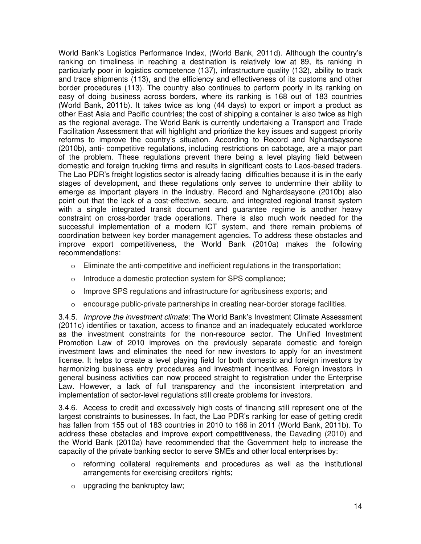World Bank's Logistics Performance Index, (World Bank, 2011d). Although the country's ranking on timeliness in reaching a destination is relatively low at 89, its ranking in particularly poor in logistics competence (137), infrastructure quality (132), ability to track and trace shipments (113), and the efficiency and effectiveness of its customs and other border procedures (113). The country also continues to perform poorly in its ranking on easy of doing business across borders, where its ranking is 168 out of 183 countries (World Bank, 2011b). It takes twice as long (44 days) to export or import a product as other East Asia and Pacific countries; the cost of shipping a container is also twice as high as the regional average. The World Bank is currently undertaking a Transport and Trade Facilitation Assessment that will highlight and prioritize the key issues and suggest priority reforms to improve the country's situation. According to Record and Nghardsaysone (2010b), anti- competitive regulations, including restrictions on cabotage, are a major part of the problem. These regulations prevent there being a level playing field between domestic and foreign trucking firms and results in significant costs to Laos-based traders. The Lao PDR's freight logistics sector is already facing difficulties because it is in the early stages of development, and these regulations only serves to undermine their ability to emerge as important players in the industry. Record and Nghardsaysone (2010b) also point out that the lack of a cost-effective, secure, and integrated regional transit system with a single integrated transit document and guarantee regime is another heavy constraint on cross-border trade operations. There is also much work needed for the successful implementation of a modern ICT system, and there remain problems of coordination between key border management agencies. To address these obstacles and improve export competitiveness, the World Bank (2010a) makes the following recommendations:

- o Eliminate the anti-competitive and inefficient regulations in the transportation;
- o Introduce a domestic protection system for SPS compliance;
- o Improve SPS regulations and infrastructure for agribusiness exports; and
- o encourage public-private partnerships in creating near-border storage facilities.

3.4.5. *Improve the investment climate*: The World Bank's Investment Climate Assessment (2011c) identifies or taxation, access to finance and an inadequately educated workforce as the investment constraints for the non-resource sector. The Unified Investment Promotion Law of 2010 improves on the previously separate domestic and foreign investment laws and eliminates the need for new investors to apply for an investment license. It helps to create a level playing field for both domestic and foreign investors by harmonizing business entry procedures and investment incentives. Foreign investors in general business activities can now proceed straight to registration under the Enterprise Law. However, a lack of full transparency and the inconsistent interpretation and implementation of sector-level regulations still create problems for investors.

3.4.6. Access to credit and excessively high costs of financing still represent one of the largest constraints to businesses. In fact, the Lao PDR's ranking for ease of getting credit has fallen from 155 out of 183 countries in 2010 to 166 in 2011 (World Bank, 2011b). To address these obstacles and improve export competitiveness, the Davading (2010) and the World Bank (2010a) have recommended that the Government help to increase the capacity of the private banking sector to serve SMEs and other local enterprises by:

- o reforming collateral requirements and procedures as well as the institutional arrangements for exercising creditors' rights;
- o upgrading the bankruptcy law;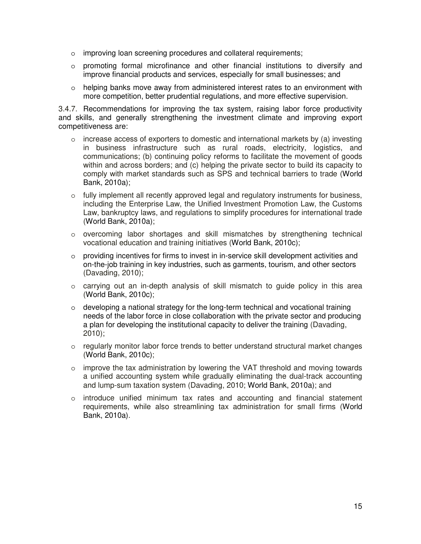- o improving loan screening procedures and collateral requirements;
- o promoting formal microfinance and other financial institutions to diversify and improve financial products and services, especially for small businesses; and
- $\circ$  helping banks move away from administered interest rates to an environment with more competition, better prudential regulations, and more effective supervision.

3.4.7. Recommendations for improving the tax system, raising labor force productivity and skills, and generally strengthening the investment climate and improving export competitiveness are:

- $\circ$  increase access of exporters to domestic and international markets by (a) investing in business infrastructure such as rural roads, electricity, logistics, and communications; (b) continuing policy reforms to facilitate the movement of goods within and across borders; and (c) helping the private sector to build its capacity to comply with market standards such as SPS and technical barriers to trade (World Bank, 2010a);
- $\circ$  fully implement all recently approved legal and regulatory instruments for business, including the Enterprise Law, the Unified Investment Promotion Law, the Customs Law, bankruptcy laws, and regulations to simplify procedures for international trade (World Bank, 2010a);
- o overcoming labor shortages and skill mismatches by strengthening technical vocational education and training initiatives (World Bank, 2010c);
- $\circ$  providing incentives for firms to invest in in-service skill development activities and on-the-job training in key industries, such as garments, tourism, and other sectors (Davading, 2010);
- $\circ$  carrying out an in-depth analysis of skill mismatch to guide policy in this area (World Bank, 2010c);
- $\circ$  developing a national strategy for the long-term technical and vocational training needs of the labor force in close collaboration with the private sector and producing a plan for developing the institutional capacity to deliver the training (Davading, 2010);
- $\circ$  regularly monitor labor force trends to better understand structural market changes (World Bank, 2010c);
- $\circ$  improve the tax administration by lowering the VAT threshold and moving towards a unified accounting system while gradually eliminating the dual-track accounting and lump-sum taxation system (Davading, 2010; World Bank, 2010a); and
- $\circ$  introduce unified minimum tax rates and accounting and financial statement requirements, while also streamlining tax administration for small firms (World Bank, 2010a).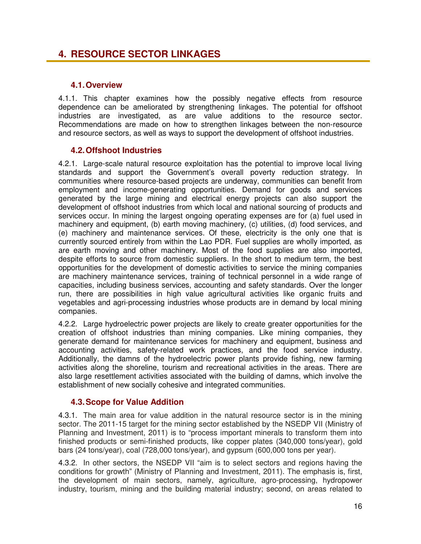### **4. RESOURCE SECTOR LINKAGES**

#### **4.1.Overview**

4.1.1. This chapter examines how the possibly negative effects from resource dependence can be ameliorated by strengthening linkages. The potential for offshoot industries are investigated, as are value additions to the resource sector. Recommendations are made on how to strengthen linkages between the non-resource and resource sectors, as well as ways to support the development of offshoot industries.

### **4.2.Offshoot Industries**

4.2.1. Large-scale natural resource exploitation has the potential to improve local living standards and support the Government's overall poverty reduction strategy. In communities where resource-based projects are underway, communities can benefit from employment and income-generating opportunities. Demand for goods and services generated by the large mining and electrical energy projects can also support the development of offshoot industries from which local and national sourcing of products and services occur. In mining the largest ongoing operating expenses are for (a) fuel used in machinery and equipment, (b) earth moving machinery, (c) utilities, (d) food services, and (e) machinery and maintenance services. Of these, electricity is the only one that is currently sourced entirely from within the Lao PDR. Fuel supplies are wholly imported, as are earth moving and other machinery. Most of the food supplies are also imported, despite efforts to source from domestic suppliers. In the short to medium term, the best opportunities for the development of domestic activities to service the mining companies are machinery maintenance services, training of technical personnel in a wide range of capacities, including business services, accounting and safety standards. Over the longer run, there are possibilities in high value agricultural activities like organic fruits and vegetables and agri-processing industries whose products are in demand by local mining companies.

4.2.2. Large hydroelectric power projects are likely to create greater opportunities for the creation of offshoot industries than mining companies. Like mining companies, they generate demand for maintenance services for machinery and equipment, business and accounting activities, safety-related work practices, and the food service industry. Additionally, the damns of the hydroelectric power plants provide fishing, new farming activities along the shoreline, tourism and recreational activities in the areas. There are also large resettlement activities associated with the building of damns, which involve the establishment of new socially cohesive and integrated communities.

#### **4.3.Scope for Value Addition**

4.3.1. The main area for value addition in the natural resource sector is in the mining sector. The 2011-15 target for the mining sector established by the NSEDP VII (Ministry of Planning and Investment, 2011) is to "process important minerals to transform them into finished products or semi-finished products, like copper plates (340,000 tons/year), gold bars (24 tons/year), coal (728,000 tons/year), and gypsum (600,000 tons per year).

4.3.2. In other sectors, the NSEDP VII "aim is to select sectors and regions having the conditions for growth" (Ministry of Planning and Investment, 2011). The emphasis is, first, the development of main sectors, namely, agriculture, agro-processing, hydropower industry, tourism, mining and the building material industry; second, on areas related to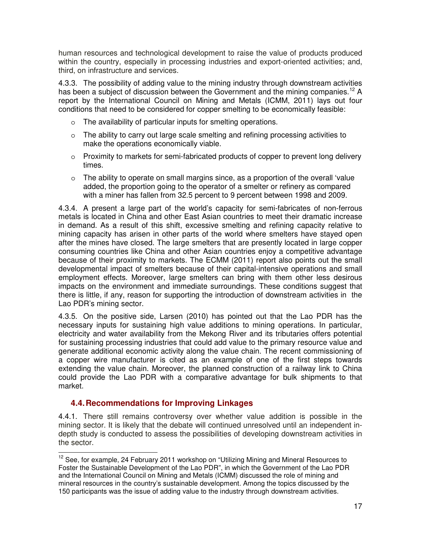human resources and technological development to raise the value of products produced within the country, especially in processing industries and export-oriented activities; and, third, on infrastructure and services.

4.3.3. The possibility of adding value to the mining industry through downstream activities has been a subject of discussion between the Government and the mining companies.<sup>[12](#page-24-0)</sup> A report by the International Council on Mining and Metals (ICMM, 2011) lays out four conditions that need to be considered for copper smelting to be economically feasible:

- o The availability of particular inputs for smelting operations.
- o The ability to carry out large scale smelting and refining processing activities to make the operations economically viable.
- $\circ$  Proximity to markets for semi-fabricated products of copper to prevent long delivery times.
- o The ability to operate on small margins since, as a proportion of the overall 'value added, the proportion going to the operator of a smelter or refinery as compared with a miner has fallen from 32.5 percent to 9 percent between 1998 and 2009.

4.3.4. A present a large part of the world's capacity for semi-fabricates of non-ferrous metals is located in China and other East Asian countries to meet their dramatic increase in demand. As a result of this shift, excessive smelting and refining capacity relative to mining capacity has arisen in other parts of the world where smelters have stayed open after the mines have closed. The large smelters that are presently located in large copper consuming countries like China and other Asian countries enjoy a competitive advantage because of their proximity to markets. The ECMM (2011) report also points out the small developmental impact of smelters because of their capital-intensive operations and small employment effects. Moreover, large smelters can bring with them other less desirous impacts on the environment and immediate surroundings. These conditions suggest that there is little, if any, reason for supporting the introduction of downstream activities in the Lao PDR's mining sector.

4.3.5. On the positive side, Larsen (2010) has pointed out that the Lao PDR has the necessary inputs for sustaining high value additions to mining operations. In particular, electricity and water availability from the Mekong River and its tributaries offers potential for sustaining processing industries that could add value to the primary resource value and generate additional economic activity along the value chain. The recent commissioning of a copper wire manufacturer is cited as an example of one of the first steps towards extending the value chain. Moreover, the planned construction of a railway link to China could provide the Lao PDR with a comparative advantage for bulk shipments to that market.

#### **4.4.Recommendations for Improving Linkages**

4.4.1. There still remains controversy over whether value addition is possible in the mining sector. It is likely that the debate will continued unresolved until an independent indepth study is conducted to assess the possibilities of developing downstream activities in the sector.

<span id="page-24-0"></span>j  $12$  See, for example, 24 February 2011 workshop on "Utilizing Mining and Mineral Resources to Foster the Sustainable Development of the Lao PDR", in which the Government of the Lao PDR and the International Council on Mining and Metals (ICMM) discussed the role of mining and mineral resources in the country's sustainable development. Among the topics discussed by the 150 participants was the issue of adding value to the industry through downstream activities.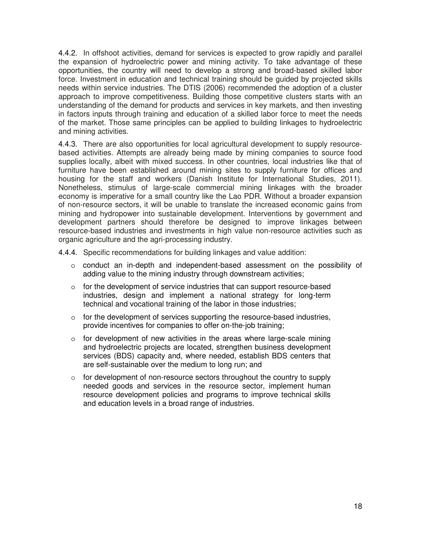4.4.2. In offshoot activities, demand for services is expected to grow rapidly and parallel the expansion of hydroelectric power and mining activity. To take advantage of these opportunities, the country will need to develop a strong and broad-based skilled labor force. Investment in education and technical training should be guided by projected skills needs within service industries. The DTIS (2006) recommended the adoption of a cluster approach to improve competitiveness. Building those competitive clusters starts with an understanding of the demand for products and services in key markets, and then investing in factors inputs through training and education of a skilled labor force to meet the needs of the market. Those same principles can be applied to building linkages to hydroelectric and mining activities.

4.4.3. There are also opportunities for local agricultural development to supply resourcebased activities. Attempts are already being made by mining companies to source food supplies locally, albeit with mixed success. In other countries, local industries like that of furniture have been established around mining sites to supply furniture for offices and housing for the staff and workers (Danish Institute for International Studies, 2011). Nonetheless, stimulus of large-scale commercial mining linkages with the broader economy is imperative for a small country like the Lao PDR. Without a broader expansion of non-resource sectors, it will be unable to translate the increased economic gains from mining and hydropower into sustainable development. Interventions by government and development partners should therefore be designed to improve linkages between resource-based industries and investments in high value non-resource activities such as organic agriculture and the agri-processing industry.

- 4.4.4. Specific recommendations for building linkages and value addition:
	- $\circ$  conduct an in-depth and independent-based assessment on the possibility of adding value to the mining industry through downstream activities;
	- $\circ$  for the development of service industries that can support resource-based industries, design and implement a national strategy for long-term technical and vocational training of the labor in those industries;
	- $\circ$  for the development of services supporting the resource-based industries, provide incentives for companies to offer on-the-job training;
	- $\circ$  for development of new activities in the areas where large-scale mining and hydroelectric projects are located, strengthen business development services (BDS) capacity and, where needed, establish BDS centers that are self-sustainable over the medium to long run; and
	- $\circ$  for development of non-resource sectors throughout the country to supply needed goods and services in the resource sector, implement human resource development policies and programs to improve technical skills and education levels in a broad range of industries.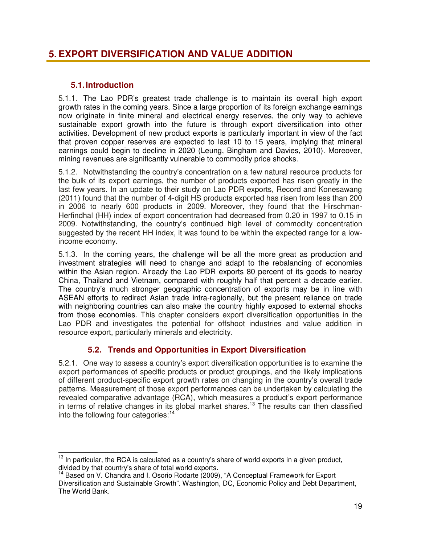### **5. EXPORT DIVERSIFICATION AND VALUE ADDITION**

### **5.1.Introduction**

5.1.1. The Lao PDR's greatest trade challenge is to maintain its overall high export growth rates in the coming years. Since a large proportion of its foreign exchange earnings now originate in finite mineral and electrical energy reserves, the only way to achieve sustainable export growth into the future is through export diversification into other activities. Development of new product exports is particularly important in view of the fact that proven copper reserves are expected to last 10 to 15 years, implying that mineral earnings could begin to decline in 2020 (Leung, Bingham and Davies, 2010). Moreover, mining revenues are significantly vulnerable to commodity price shocks.

5.1.2. Notwithstanding the country's concentration on a few natural resource products for the bulk of its export earnings, the number of products exported has risen greatly in the last few years. In an update to their study on Lao PDR exports, Record and Konesawang (2011) found that the number of 4-digit HS products exported has risen from less than 200 in 2006 to nearly 600 products in 2009. Moreover, they found that the Hirschman-Herfindhal (HH) index of export concentration had decreased from 0.20 in 1997 to 0.15 in 2009. Notwithstanding, the country's continued high level of commodity concentration suggested by the recent HH index, it was found to be within the expected range for a lowincome economy.

5.1.3. In the coming years, the challenge will be all the more great as production and investment strategies will need to change and adapt to the rebalancing of economies within the Asian region. Already the Lao PDR exports 80 percent of its goods to nearby China, Thailand and Vietnam, compared with roughly half that percent a decade earlier. The country's much stronger geographic concentration of exports may be in line with ASEAN efforts to redirect Asian trade intra-regionally, but the present reliance on trade with neighboring countries can also make the country highly exposed to external shocks from those economies. This chapter considers export diversification opportunities in the Lao PDR and investigates the potential for offshoot industries and value addition in resource export, particularly minerals and electricity.

### **5.2. Trends and Opportunities in Export Diversification**

5.2.1. One way to assess a country's export diversification opportunities is to examine the export performances of specific products or product groupings, and the likely implications of different product-specific export growth rates on changing in the country's overall trade patterns. Measurement of those export performances can be undertaken by calculating the revealed comparative advantage (RCA), which measures a product's export performance in terms of relative changes in its global market shares.[13](#page-26-0) The results can then classified into the following four categories:<sup>[14](#page-26-1)</sup>

<span id="page-26-0"></span>j  $13$  In particular, the RCA is calculated as a country's share of world exports in a given product, divided by that country's share of total world exports.

<span id="page-26-1"></span><sup>&</sup>lt;sup>14</sup> Based on V. Chandra and I. Osorio Rodarte (2009), "A Conceptual Framework for Export Diversification and Sustainable Growth". Washington, DC, Economic Policy and Debt Department, The World Bank.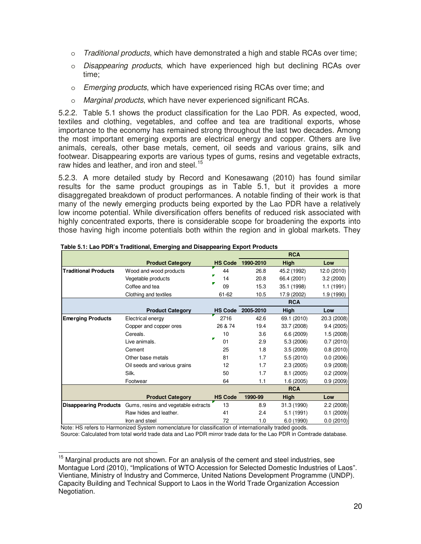- o *Traditional products*, which have demonstrated a high and stable RCAs over time;
- o *Disappearing products*, which have experienced high but declining RCAs over time;
- o *Emerging products*, which have experienced rising RCAs over time; and
- o *Marginal products*, which have never experienced significant RCAs.

5.2.2. Table 5.1 shows the product classification for the Lao PDR. As expected, wood, textiles and clothing, vegetables, and coffee and tea are traditional exports, whose importance to the economy has remained strong throughout the last two decades. Among the most important emerging exports are electrical energy and copper. Others are live animals, cereals, other base metals, cement, oil seeds and various grains, silk and footwear. Disappearing exports are various types of gums, resins and vegetable extracts, raw hides and leather, and iron and steel.<sup>[15](#page-27-0)</sup>

5.2.3. A more detailed study by Record and Konesawang (2010) has found similar results for the same product groupings as in Table 5.1, but it provides a more disaggregated breakdown of product performances. A notable finding of their work is that many of the newly emerging products being exported by the Lao PDR have a relatively low income potential. While diversification offers benefits of reduced risk associated with highly concentrated exports, there is considerable scope for broadening the exports into those having high income potentials both within the region and in global markets. They

|                              |                                     |                |           | <b>RCA</b>  |             |
|------------------------------|-------------------------------------|----------------|-----------|-------------|-------------|
|                              | <b>Product Category</b>             | <b>HS Code</b> | 1990-2010 | High        | Low         |
| <b>Traditional Products</b>  | Wood and wood products              | 44             | 26.8      | 45.2 (1992) | 12.0 (2010) |
|                              | Vegetable products                  | 14             | 20.8      | 66.4 (2001) | 3.2(2000)   |
|                              | Coffee and tea                      | 09             | 15.3      | 35.1 (1998) | 1.1 (1991)  |
|                              | Clothing and textiles               | 61-62          | 10.5      | 17.9 (2002) | 1.9 (1990)  |
|                              |                                     |                |           | <b>RCA</b>  |             |
|                              | <b>Product Category</b>             | <b>HS Code</b> | 2005-2010 | High        | Low         |
| <b>Emerging Products</b>     | Electrical energy                   | 2716           | 42.6      | 69.1 (2010) | 20.3 (2008) |
|                              | Copper and copper ores              | 26 & 74        | 19.4      | 33.7 (2008) | 9.4(2005)   |
|                              | Cereals.                            | 10             | 3.6       | 6.6(2009)   | 1.5(2008)   |
|                              | Live animals.                       | 01             | 2.9       | 5.3(2006)   | 0.7(2010)   |
|                              | Cement                              | 25             | 1.8       | 3.5(2009)   | 0.8(2010)   |
|                              | Other base metals                   | 81             | 1.7       | 5.5(2010)   | 0.0(2006)   |
|                              | Oil seeds and various grains        | 12             | 1.7       | 2.3(2005)   | 0.9(2008)   |
|                              | Silk.                               | 50             | 1.7       | 8.1 (2005)  | 0.2(2009)   |
|                              | Footwear                            | 64             | 1.1       | 1.6(2005)   | 0.9(2009)   |
|                              |                                     |                |           | <b>RCA</b>  |             |
|                              | <b>Product Category</b>             | <b>HS Code</b> | 1990-99   | <b>High</b> | Low         |
| <b>Disappearing Products</b> | Gums, resins and vegetable extracts | 13             | 8.9       | 31.3 (1990) | 2.2(2008)   |
|                              | Raw hides and leather.              | 41             | 2.4       | 5.1 (1991)  | 0.1(2009)   |
|                              | Iron and steel                      | 72             | 1.0       | 6.0 (1990)  | 0.0(2010)   |

Note: HS refers to Harmonized System nomenclature for classification of internationally traded goods. Source: Calculated from total world trade data and Lao PDR mirror trade data for the Lao PDR in Comtrade database.

<span id="page-27-0"></span>j <sup>15</sup> Marginal products are not shown. For an analysis of the cement and steel industries, see Montague Lord (2010), "Implications of WTO Accession for Selected Domestic Industries of Laos". Vientiane, Ministry of Industry and Commerce, United Nations Development Programme (UNDP). Capacity Building and Technical Support to Laos in the World Trade Organization Accession Negotiation.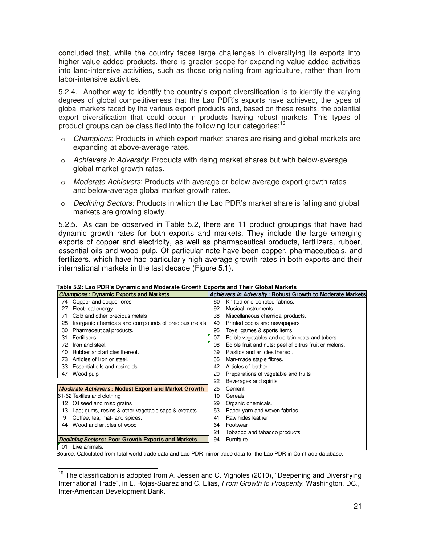concluded that, while the country faces large challenges in diversifying its exports into higher value added products, there is greater scope for expanding value added activities into land-intensive activities, such as those originating from agriculture, rather than from labor-intensive activities.

5.2.4. Another way to identify the country's export diversification is to identify the varying degrees of global competitiveness that the Lao PDR's exports have achieved, the types of global markets faced by the various export products and, based on these results, the potential export diversification that could occur in products having robust markets. This types of product groups can be classified into the following four categories:<sup>[16](#page-28-0)</sup>

- o *Champions*: Products in which export market shares are rising and global markets are expanding at above-average rates.
- o *Achievers in Adversity*: Products with rising market shares but with below-average global market growth rates.
- o *Moderate Achievers*: Products with average or below average export growth rates and below-average global market growth rates.
- o *Declining Sectors*: Products in which the Lao PDR's market share is falling and global markets are growing slowly.

5.2.5. As can be observed in Table 5.2, there are 11 product groupings that have had dynamic growth rates for both exports and markets. They include the large emerging exports of copper and electricity, as well as pharmaceutical products, fertilizers, rubber, essential oils and wood pulp. Of particular note have been copper, pharmaceuticals, and fertilizers, which have had particularly high average growth rates in both exports and their international markets in the last decade (Figure 5.1).

| <b>Champions: Dynamic Exports and Markets</b> |                                                            |    | Achievers in Adversity: Robust Growth to Moderate Markets |
|-----------------------------------------------|------------------------------------------------------------|----|-----------------------------------------------------------|
| 74                                            | Copper and copper ores                                     | 60 | Knitted or crocheted fabrics.                             |
| 27                                            | Electrical energy                                          | 92 | Musical instruments                                       |
| 71                                            | Gold and other precious metals                             | 38 | Miscellaneous chemical products.                          |
| 28                                            | Inorganic chemicals and compounds of precious metals       | 49 | Printed books and newspapers                              |
| 30                                            | Pharmaceutical products.                                   | 95 | Toys, games & sports items                                |
| 31                                            | Fertilisers.                                               | 07 | Edible vegetables and certain roots and tubers.           |
| 72                                            | Iron and steel.                                            | 08 | Edible fruit and nuts; peel of citrus fruit or melons.    |
| 40                                            | Rubber and articles thereof.                               | 39 | Plastics and articles thereof.                            |
| 73                                            | Articles of iron or steel.                                 | 55 | Man-made staple fibres.                                   |
| 33                                            | Essential oils and resinoids                               | 42 | Articles of leather                                       |
| 47                                            | Wood pulp                                                  | 20 | Preparations of vegetable and fruits                      |
|                                               |                                                            | 22 | Beverages and spirits                                     |
|                                               | <b>Moderate Achievers: Modest Export and Market Growth</b> | 25 | Cement                                                    |
|                                               | 61-62 Textiles and clothing                                | 10 | Cereals.                                                  |
| 12                                            | Oil seed and misc grains                                   | 29 | Organic chemicals.                                        |
| 13                                            | Lac; gums, resins & other vegetable saps & extracts.       | 53 | Paper yarn and woven fabrics                              |
| 9                                             | Coffee, tea, mat- and spices.                              | 41 | Raw hides leather.                                        |
| 44                                            | Wood and articles of wood                                  | 64 | Footwear                                                  |
|                                               |                                                            | 24 | Tobacco and tabacco products                              |
|                                               | <b>Declining Sectors: Poor Growth Exports and Markets</b>  | 94 | Furniture                                                 |
| 01                                            | Live animals.                                              |    |                                                           |

**Table 5.2: Lao PDR's Dynamic and Moderate Growth Exports and Their Global Markets**

Source: Calculated from total world trade data and Lao PDR mirror trade data for the Lao PDR in Comtrade database.

<span id="page-28-0"></span> $\overline{\phantom{a}}$  $16$  The classification is adopted from A. Jessen and C. Vignoles (2010), "Deepening and Diversifying International Trade", in L. Rojas-Suarez and C. Elias, *From Growth to Prosperity*. Washington, DC., Inter-American Development Bank.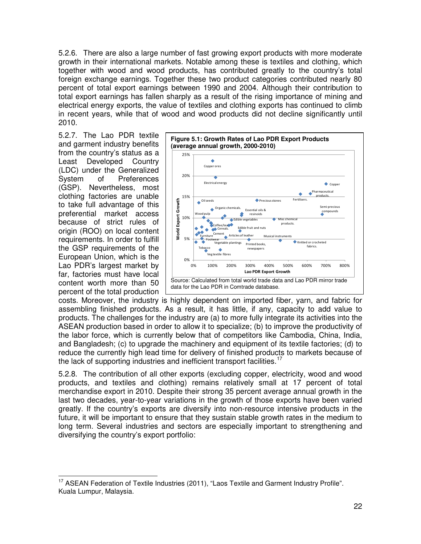5.2.6. There are also a large number of fast growing export products with more moderate growth in their international markets. Notable among these is textiles and clothing, which together with wood and wood products, has contributed greatly to the country's total foreign exchange earnings. Together these two product categories contributed nearly 80 percent of total export earnings between 1990 and 2004. Although their contribution to total export earnings has fallen sharply as a result of the rising importance of mining and electrical energy exports, the value of textiles and clothing exports has continued to climb in recent years, while that of wood and wood products did not decline significantly until 2010.

5.2.7. The Lao PDR textile and garment industry benefits from the country's status as a Least Developed Country (LDC) under the Generalized System of Preferences (GSP). Nevertheless, most clothing factories are unable to take full advantage of this preferential market access because of strict rules of origin (ROO) on local content requirements. In order to fulfill the GSP requirements of the European Union, which is the Lao PDR's largest market by far, factories must have local content worth more than 50 percent of the total production



costs. Moreover, the industry is highly dependent on imported fiber, yarn, and fabric for assembling finished products. As a result, it has little, if any, capacity to add value to products. The challenges for the industry are (a) to more fully integrate its activities into the ASEAN production based in order to allow it to specialize; (b) to improve the productivity of the labor force, which is currently below that of competitors like Cambodia, China, India, and Bangladesh; (c) to upgrade the machinery and equipment of its textile factories; (d) to reduce the currently high lead time for delivery of finished products to markets because of the lack of supporting industries and inefficient transport facilities.<sup>[17](#page-29-0)</sup>

5.2.8. The contribution of all other exports (excluding copper, electricity, wood and wood products, and textiles and clothing) remains relatively small at 17 percent of total merchandise export in 2010. Despite their strong 35 percent average annual growth in the last two decades, year-to-year variations in the growth of those exports have been varied greatly. If the country's exports are diversify into non-resource intensive products in the future, it will be important to ensure that they sustain stable growth rates in the medium to long term. Several industries and sectors are especially important to strengthening and diversifying the country's export portfolio:

<span id="page-29-0"></span>j <sup>17</sup> ASEAN Federation of Textile Industries (2011), "Laos Textile and Garment Industry Profile". Kuala Lumpur, Malaysia.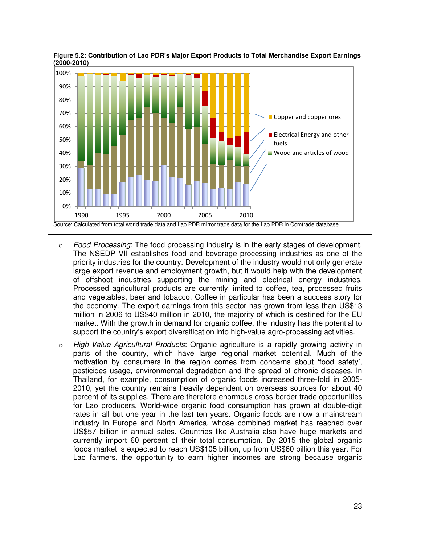

- o *Food Processing*: The food processing industry is in the early stages of development. The NSEDP VII establishes food and beverage processing industries as one of the priority industries for the country. Development of the industry would not only generate large export revenue and employment growth, but it would help with the development of offshoot industries supporting the mining and electrical energy industries. Processed agricultural products are currently limited to coffee, tea, processed fruits and vegetables, beer and tobacco. Coffee in particular has been a success story for the economy. The export earnings from this sector has grown from less than US\$13 million in 2006 to US\$40 million in 2010, the majority of which is destined for the EU market. With the growth in demand for organic coffee, the industry has the potential to support the country's export diversification into high-value agro-processing activities.
- o *High-Value Agricultural Products*: Organic agriculture is a rapidly growing activity in parts of the country, which have large regional market potential. Much of the motivation by consumers in the region comes from concerns about 'food safety', pesticides usage, environmental degradation and the spread of chronic diseases. In Thailand, for example, consumption of organic foods increased three-fold in 2005- 2010, yet the country remains heavily dependent on overseas sources for about 40 percent of its supplies. There are therefore enormous cross-border trade opportunities for Lao producers. World-wide organic food consumption has grown at double-digit rates in all but one year in the last ten years. Organic foods are now a mainstream industry in Europe and North America, whose combined market has reached over US\$57 billion in annual sales. Countries like Australia also have huge markets and currently import 60 percent of their total consumption. By 2015 the global organic foods market is expected to reach US\$105 billion, up from US\$60 billion this year. For Lao farmers, the opportunity to earn higher incomes are strong because organic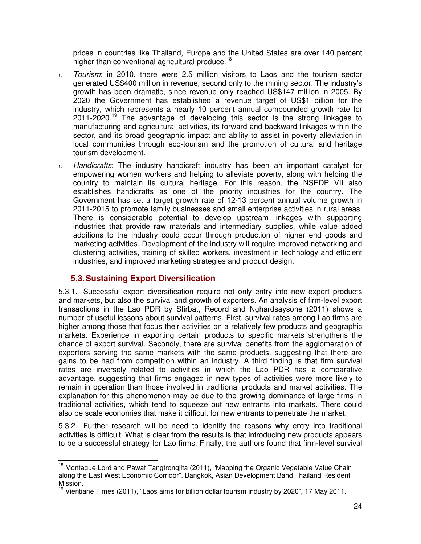prices in countries like Thailand, Europe and the United States are over 140 percent higher than conventional agricultural produce.<sup>[18](#page-31-0)</sup>

- o *Tourism*: in 2010, there were 2.5 million visitors to Laos and the tourism sector generated US\$400 million in revenue, second only to the mining sector. The industry's growth has been dramatic, since revenue only reached US\$147 million in 2005. By 2020 the Government has established a revenue target of US\$1 billion for the industry, which represents a nearly 10 percent annual compounded growth rate for  $2011-2020$ <sup>[19](#page-31-1)</sup> The advantage of developing this sector is the strong linkages to manufacturing and agricultural activities, its forward and backward linkages within the sector, and its broad geographic impact and ability to assist in poverty alleviation in local communities through eco-tourism and the promotion of cultural and heritage tourism development.
- o *Handicrafts*: The industry handicraft industry has been an important catalyst for empowering women workers and helping to alleviate poverty, along with helping the country to maintain its cultural heritage. For this reason, the NSEDP VII also establishes handicrafts as one of the priority industries for the country. The Government has set a target growth rate of 12-13 percent annual volume growth in 2011-2015 to promote family businesses and small enterprise activities in rural areas. There is considerable potential to develop upstream linkages with supporting industries that provide raw materials and intermediary supplies, while value added additions to the industry could occur through production of higher end goods and marketing activities. Development of the industry will require improved networking and clustering activities, training of skilled workers, investment in technology and efficient industries, and improved marketing strategies and product design.

### **5.3.Sustaining Export Diversification**

5.3.1. Successful export diversification require not only entry into new export products and markets, but also the survival and growth of exporters. An analysis of firm-level export transactions in the Lao PDR by Stirbat, Record and Nghardsaysone (2011) shows a number of useful lessons about survival patterns. First, survival rates among Lao firms are higher among those that focus their activities on a relatively few products and geographic markets. Experience in exporting certain products to specific markets strengthens the chance of export survival. Secondly, there are survival benefits from the agglomeration of exporters serving the same markets with the same products, suggesting that there are gains to be had from competition within an industry. A third finding is that firm survival rates are inversely related to activities in which the Lao PDR has a comparative advantage, suggesting that firms engaged in new types of activities were more likely to remain in operation than those involved in traditional products and market activities. The explanation for this phenomenon may be due to the growing dominance of large firms in traditional activities, which tend to squeeze out new entrants into markets. There could also be scale economies that make it difficult for new entrants to penetrate the market.

5.3.2. Further research will be need to identify the reasons why entry into traditional activities is difficult. What is clear from the results is that introducing new products appears to be a successful strategy for Lao firms. Finally, the authors found that firm-level survival

<span id="page-31-0"></span> $\overline{1}$ <sup>18</sup> Montague Lord and Pawat Tangtrongiita (2011), "Mapping the Organic Vegetable Value Chain along the East West Economic Corridor". Bangkok, Asian Development Band Thailand Resident Mission.

<span id="page-31-1"></span><sup>&</sup>lt;sup>19</sup> Vientiane Times (2011), "Laos aims for billion dollar tourism industry by 2020", 17 May 2011.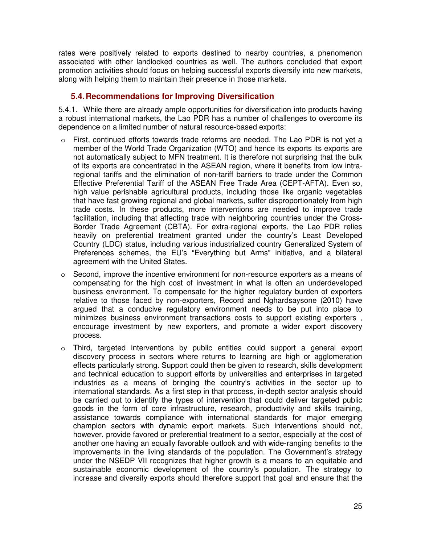rates were positively related to exports destined to nearby countries, a phenomenon associated with other landlocked countries as well. The authors concluded that export promotion activities should focus on helping successful exports diversify into new markets, along with helping them to maintain their presence in those markets.

### **5.4.Recommendations for Improving Diversification**

5.4.1. While there are already ample opportunities for diversification into products having a robust international markets, the Lao PDR has a number of challenges to overcome its dependence on a limited number of natural resource-based exports:

- o First, continued efforts towards trade reforms are needed. The Lao PDR is not yet a member of the World Trade Organization (WTO) and hence its exports its exports are not automatically subject to MFN treatment. It is therefore not surprising that the bulk of its exports are concentrated in the ASEAN region, where it benefits from low intraregional tariffs and the elimination of non-tariff barriers to trade under the Common Effective Preferential Tariff of the ASEAN Free Trade Area (CEPT-AFTA). Even so, high value perishable agricultural products, including those like organic vegetables that have fast growing regional and global markets, suffer disproportionately from high trade costs. In these products, more interventions are needed to improve trade facilitation, including that affecting trade with neighboring countries under the Cross-Border Trade Agreement (CBTA). For extra-regional exports, the Lao PDR relies heavily on preferential treatment granted under the country's Least Developed Country (LDC) status, including various industrialized country Generalized System of Preferences schemes, the EU's "Everything but Arms" initiative, and a bilateral agreement with the United States.
- $\circ$  Second, improve the incentive environment for non-resource exporters as a means of compensating for the high cost of investment in what is often an underdeveloped business environment. To compensate for the higher regulatory burden of exporters relative to those faced by non-exporters, Record and Nghardsaysone (2010) have argued that a conducive regulatory environment needs to be put into place to minimizes business environment transactions costs to support existing exporters , encourage investment by new exporters, and promote a wider export discovery process.
- o Third, targeted interventions by public entities could support a general export discovery process in sectors where returns to learning are high or agglomeration effects particularly strong. Support could then be given to research, skills development and technical education to support efforts by universities and enterprises in targeted industries as a means of bringing the country's activities in the sector up to international standards. As a first step in that process, in-depth sector analysis should be carried out to identify the types of intervention that could deliver targeted public goods in the form of core infrastructure, research, productivity and skills training, assistance towards compliance with international standards for major emerging champion sectors with dynamic export markets. Such interventions should not, however, provide favored or preferential treatment to a sector, especially at the cost of another one having an equally favorable outlook and with wide-ranging benefits to the improvements in the living standards of the population. The Government's strategy under the NSEDP VII recognizes that higher growth is a means to an equitable and sustainable economic development of the country's population. The strategy to increase and diversify exports should therefore support that goal and ensure that the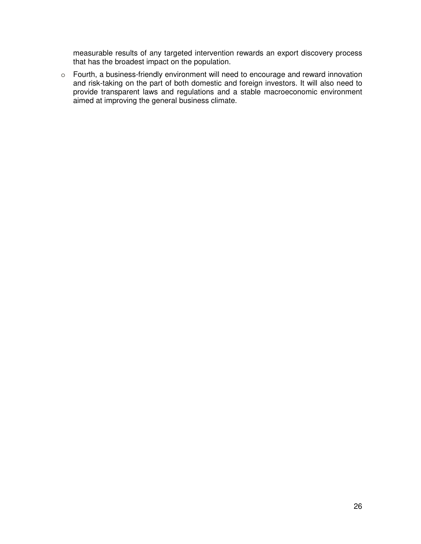measurable results of any targeted intervention rewards an export discovery process that has the broadest impact on the population.

o Fourth, a business-friendly environment will need to encourage and reward innovation and risk-taking on the part of both domestic and foreign investors. It will also need to provide transparent laws and regulations and a stable macroeconomic environment aimed at improving the general business climate.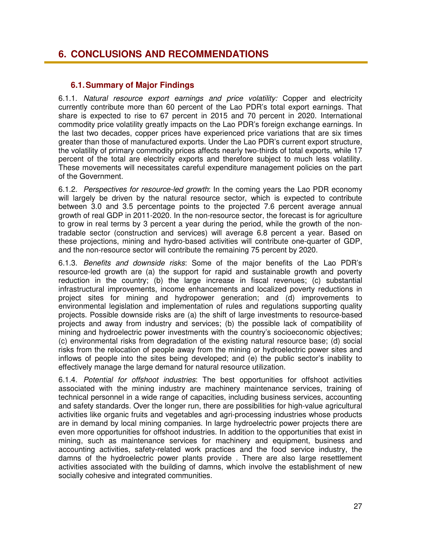### **6. CONCLUSIONS AND RECOMMENDATIONS**

### **6.1.Summary of Major Findings**

6.1.1. *Natural resource export earnings and price volatility:* Copper and electricity currently contribute more than 60 percent of the Lao PDR's total export earnings. That share is expected to rise to 67 percent in 2015 and 70 percent in 2020. International commodity price volatility greatly impacts on the Lao PDR's foreign exchange earnings. In the last two decades, copper prices have experienced price variations that are six times greater than those of manufactured exports. Under the Lao PDR's current export structure, the volatility of primary commodity prices affects nearly two-thirds of total exports, while 17 percent of the total are electricity exports and therefore subject to much less volatility. These movements will necessitates careful expenditure management policies on the part of the Government.

6.1.2. *Perspectives for resource-led growth*: In the coming years the Lao PDR economy will largely be driven by the natural resource sector, which is expected to contribute between 3.0 and 3.5 percentage points to the projected 7.6 percent average annual growth of real GDP in 2011-2020. In the non-resource sector, the forecast is for agriculture to grow in real terms by 3 percent a year during the period, while the growth of the nontradable sector (construction and services) will average 6.8 percent a year. Based on these projections, mining and hydro-based activities will contribute one-quarter of GDP, and the non-resource sector will contribute the remaining 75 percent by 2020.

6.1.3. *Benefits and downside risks*: Some of the major benefits of the Lao PDR's resource-led growth are (a) the support for rapid and sustainable growth and poverty reduction in the country; (b) the large increase in fiscal revenues; (c) substantial infrastructural improvements, income enhancements and localized poverty reductions in project sites for mining and hydropower generation; and (d) improvements to environmental legislation and implementation of rules and regulations supporting quality projects. Possible downside risks are (a) the shift of large investments to resource-based projects and away from industry and services; (b) the possible lack of compatibility of mining and hydroelectric power investments with the country's socioeconomic objectives; (c) environmental risks from degradation of the existing natural resource base; (d) social risks from the relocation of people away from the mining or hydroelectric power sites and inflows of people into the sites being developed; and (e) the public sector's inability to effectively manage the large demand for natural resource utilization.

6.1.4. *Potential for offshoot industries*: The best opportunities for offshoot activities associated with the mining industry are machinery maintenance services, training of technical personnel in a wide range of capacities, including business services, accounting and safety standards. Over the longer run, there are possibilities for high-value agricultural activities like organic fruits and vegetables and agri-processing industries whose products are in demand by local mining companies. In large hydroelectric power projects there are even more opportunities for offshoot industries. In addition to the opportunities that exist in mining, such as maintenance services for machinery and equipment, business and accounting activities, safety-related work practices and the food service industry, the damns of the hydroelectric power plants provide . There are also large resettlement activities associated with the building of damns, which involve the establishment of new socially cohesive and integrated communities.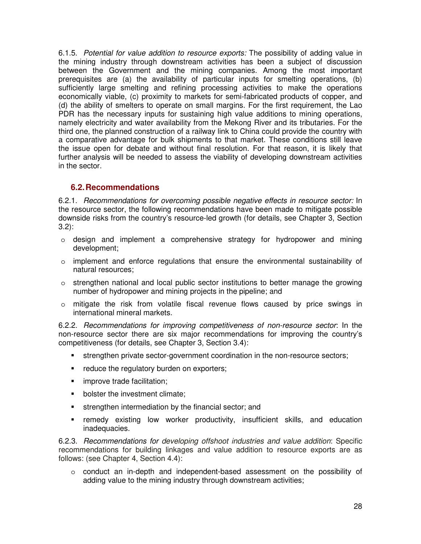6.1.5. *Potential for value addition to resource exports:* The possibility of adding value in the mining industry through downstream activities has been a subject of discussion between the Government and the mining companies. Among the most important prerequisites are (a) the availability of particular inputs for smelting operations, (b) sufficiently large smelting and refining processing activities to make the operations economically viable, (c) proximity to markets for semi-fabricated products of copper, and (d) the ability of smelters to operate on small margins. For the first requirement, the Lao PDR has the necessary inputs for sustaining high value additions to mining operations, namely electricity and water availability from the Mekong River and its tributaries. For the third one, the planned construction of a railway link to China could provide the country with a comparative advantage for bulk shipments to that market. These conditions still leave the issue open for debate and without final resolution. For that reason, it is likely that further analysis will be needed to assess the viability of developing downstream activities in the sector.

### **6.2.Recommendations**

6.2.1. *Recommendations for overcoming possible negative effects in resource sector:* In the resource sector, the following recommendations have been made to mitigate possible downside risks from the country's resource-led growth (for details, see Chapter 3, Section 3.2):

- $\circ$  design and implement a comprehensive strategy for hydropower and mining development;
- $\circ$  implement and enforce regulations that ensure the environmental sustainability of natural resources;
- $\circ$  strengthen national and local public sector institutions to better manage the growing number of hydropower and mining projects in the pipeline; and
- $\circ$  mitigate the risk from volatile fiscal revenue flows caused by price swings in international mineral markets.

6.2.2. *Recommendations for improving competitiveness of non-resource sector*: In the non-resource sector there are six major recommendations for improving the country's competitiveness (for details, see Chapter 3, Section 3.4):

- strengthen private sector-government coordination in the non-resource sectors;
- reduce the regulatory burden on exporters;
- improve trade facilitation;
- **•** bolster the investment climate:
- strengthen intermediation by the financial sector; and
- **F** remedy existing low worker productivity, insufficient skills, and education inadequacies.

6.2.3. *Recommendations for developing offshoot industries and value addition*: Specific recommendations for building linkages and value addition to resource exports are as follows: (see Chapter 4, Section 4.4):

 $\circ$  conduct an in-depth and independent-based assessment on the possibility of adding value to the mining industry through downstream activities;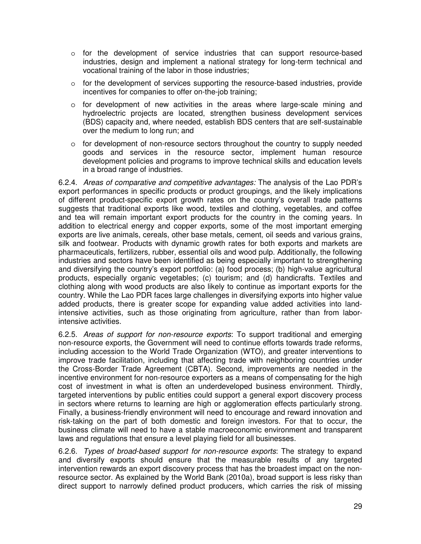- o for the development of service industries that can support resource-based industries, design and implement a national strategy for long-term technical and vocational training of the labor in those industries;
- $\circ$  for the development of services supporting the resource-based industries, provide incentives for companies to offer on-the-job training;
- $\circ$  for development of new activities in the areas where large-scale mining and hydroelectric projects are located, strengthen business development services (BDS) capacity and, where needed, establish BDS centers that are self-sustainable over the medium to long run; and
- o for development of non-resource sectors throughout the country to supply needed goods and services in the resource sector, implement human resource development policies and programs to improve technical skills and education levels in a broad range of industries.

6.2.4. *Areas of comparative and competitive advantages:* The analysis of the Lao PDR's export performances in specific products or product groupings, and the likely implications of different product-specific export growth rates on the country's overall trade patterns suggests that traditional exports like wood, textiles and clothing, vegetables, and coffee and tea will remain important export products for the country in the coming years. In addition to electrical energy and copper exports, some of the most important emerging exports are live animals, cereals, other base metals, cement, oil seeds and various grains, silk and footwear. Products with dynamic growth rates for both exports and markets are pharmaceuticals, fertilizers, rubber, essential oils and wood pulp. Additionally, the following industries and sectors have been identified as being especially important to strengthening and diversifying the country's export portfolio: (a) food process; (b) high-value agricultural products, especially organic vegetables; (c) tourism; and (d) handicrafts. Textiles and clothing along with wood products are also likely to continue as important exports for the country. While the Lao PDR faces large challenges in diversifying exports into higher value added products, there is greater scope for expanding value added activities into landintensive activities, such as those originating from agriculture, rather than from laborintensive activities.

6.2.5. *Areas of support for non-resource exports*: To support traditional and emerging non-resource exports, the Government will need to continue efforts towards trade reforms, including accession to the World Trade Organization (WTO), and greater interventions to improve trade facilitation, including that affecting trade with neighboring countries under the Cross-Border Trade Agreement (CBTA). Second, improvements are needed in the incentive environment for non-resource exporters as a means of compensating for the high cost of investment in what is often an underdeveloped business environment. Thirdly, targeted interventions by public entities could support a general export discovery process in sectors where returns to learning are high or agglomeration effects particularly strong. Finally, a business-friendly environment will need to encourage and reward innovation and risk-taking on the part of both domestic and foreign investors. For that to occur, the business climate will need to have a stable macroeconomic environment and transparent laws and regulations that ensure a level playing field for all businesses.

6.2.6. *Types of broad-based support for non-resource exports*: The strategy to expand and diversify exports should ensure that the measurable results of any targeted intervention rewards an export discovery process that has the broadest impact on the nonresource sector. As explained by the World Bank (2010a), broad support is less risky than direct support to narrowly defined product producers, which carries the risk of missing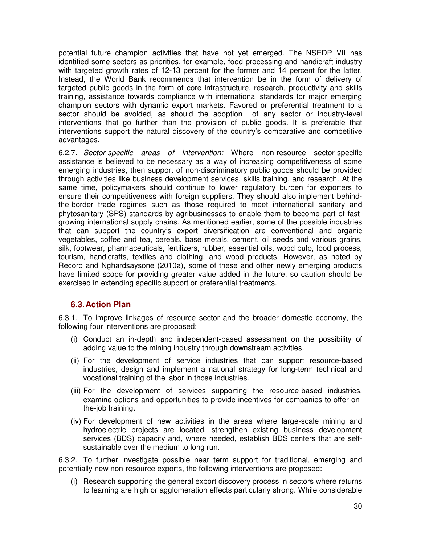potential future champion activities that have not yet emerged. The NSEDP VII has identified some sectors as priorities, for example, food processing and handicraft industry with targeted growth rates of 12-13 percent for the former and 14 percent for the latter. Instead, the World Bank recommends that intervention be in the form of delivery of targeted public goods in the form of core infrastructure, research, productivity and skills training, assistance towards compliance with international standards for major emerging champion sectors with dynamic export markets. Favored or preferential treatment to a sector should be avoided, as should the adoption of any sector or industry-level interventions that go further than the provision of public goods. It is preferable that interventions support the natural discovery of the country's comparative and competitive advantages.

6.2.7. *Sector-specific areas of intervention:* Where non-resource sector-specific assistance is believed to be necessary as a way of increasing competitiveness of some emerging industries, then support of non-discriminatory public goods should be provided through activities like business development services, skills training, and research. At the same time, policymakers should continue to lower regulatory burden for exporters to ensure their competitiveness with foreign suppliers. They should also implement behindthe-border trade regimes such as those required to meet international sanitary and phytosanitary (SPS) standards by agribusinesses to enable them to become part of fastgrowing international supply chains. As mentioned earlier, some of the possible industries that can support the country's export diversification are conventional and organic vegetables, coffee and tea, cereals, base metals, cement, oil seeds and various grains, silk, footwear, pharmaceuticals, fertilizers, rubber, essential oils, wood pulp, food process, tourism, handicrafts, textiles and clothing, and wood products. However, as noted by Record and Nghardsaysone (2010a), some of these and other newly emerging products have limited scope for providing greater value added in the future, so caution should be exercised in extending specific support or preferential treatments.

### **6.3.Action Plan**

6.3.1. To improve linkages of resource sector and the broader domestic economy, the following four interventions are proposed:

- (i) Conduct an in-depth and independent-based assessment on the possibility of adding value to the mining industry through downstream activities.
- (ii) For the development of service industries that can support resource-based industries, design and implement a national strategy for long-term technical and vocational training of the labor in those industries.
- (iii) For the development of services supporting the resource-based industries, examine options and opportunities to provide incentives for companies to offer onthe-job training.
- (iv) For development of new activities in the areas where large-scale mining and hydroelectric projects are located, strengthen existing business development services (BDS) capacity and, where needed, establish BDS centers that are selfsustainable over the medium to long run.

6.3.2. To further investigate possible near term support for traditional, emerging and potentially new non-resource exports, the following interventions are proposed:

(i) Research supporting the general export discovery process in sectors where returns to learning are high or agglomeration effects particularly strong. While considerable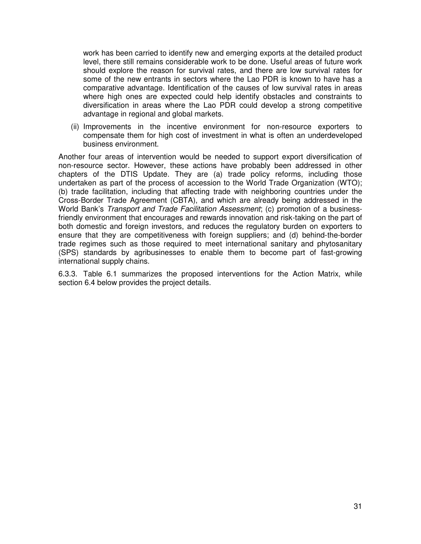work has been carried to identify new and emerging exports at the detailed product level, there still remains considerable work to be done. Useful areas of future work should explore the reason for survival rates, and there are low survival rates for some of the new entrants in sectors where the Lao PDR is known to have has a comparative advantage. Identification of the causes of low survival rates in areas where high ones are expected could help identify obstacles and constraints to diversification in areas where the Lao PDR could develop a strong competitive advantage in regional and global markets.

(ii) Improvements in the incentive environment for non-resource exporters to compensate them for high cost of investment in what is often an underdeveloped business environment.

Another four areas of intervention would be needed to support export diversification of non-resource sector. However, these actions have probably been addressed in other chapters of the DTIS Update. They are (a) trade policy reforms, including those undertaken as part of the process of accession to the World Trade Organization (WTO); (b) trade facilitation, including that affecting trade with neighboring countries under the Cross-Border Trade Agreement (CBTA), and which are already being addressed in the World Bank's *Transport and Trade Facilitation Assessment*; (c) promotion of a businessfriendly environment that encourages and rewards innovation and risk-taking on the part of both domestic and foreign investors, and reduces the regulatory burden on exporters to ensure that they are competitiveness with foreign suppliers; and (d) behind-the-border trade regimes such as those required to meet international sanitary and phytosanitary (SPS) standards by agribusinesses to enable them to become part of fast-growing international supply chains.

6.3.3. Table 6.1 summarizes the proposed interventions for the Action Matrix, while section 6.4 below provides the project details.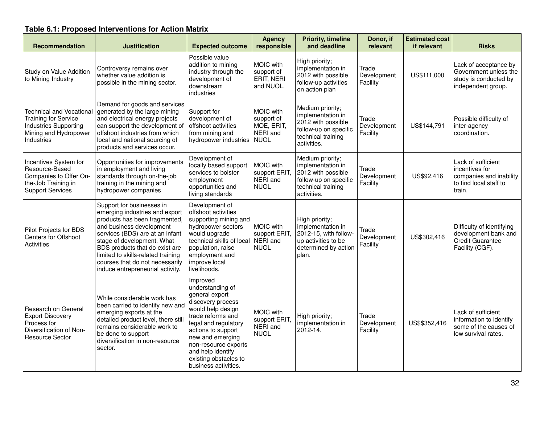## **Table 6.1: Proposed Interventions for Action Matrix**

| Recommendation                                                                                                                 | <b>Justification</b>                                                                                                                                                                                                                                                                                                                     | <b>Expected outcome</b>                                                                                                                                                                                                                                                       | <b>Agency</b><br>responsible                                     | <b>Priority, timeline</b><br>and deadline                                                                                 | Donor, if<br>relevant            | <b>Estimated cost</b><br>if relevant | <b>Risks</b>                                                                                        |
|--------------------------------------------------------------------------------------------------------------------------------|------------------------------------------------------------------------------------------------------------------------------------------------------------------------------------------------------------------------------------------------------------------------------------------------------------------------------------------|-------------------------------------------------------------------------------------------------------------------------------------------------------------------------------------------------------------------------------------------------------------------------------|------------------------------------------------------------------|---------------------------------------------------------------------------------------------------------------------------|----------------------------------|--------------------------------------|-----------------------------------------------------------------------------------------------------|
| Study on Value Addition<br>to Mining Industry                                                                                  | Controversy remains over<br>whether value addition is<br>possible in the mining sector.                                                                                                                                                                                                                                                  | Possible value<br>addition to mining<br>industry through the<br>development of<br>downstream<br>industries                                                                                                                                                                    | MOIC with<br>support of<br>ERIT, NERI<br>and NUOL.               | High priority;<br>implementation in<br>2012 with possible<br>follow-up activities<br>on action plan                       | Trade<br>Development<br>Facility | US\$111,000                          | Lack of acceptance by<br>Government unless the<br>study is conducted by<br>independent group.       |
| <b>Technical and Vocational</b><br><b>Training for Service</b><br>Industries Supporting<br>Mining and Hydropower<br>Industries | Demand for goods and services<br>generated by the large mining<br>and electrical energy projects<br>can support the development of<br>offshoot industries from which<br>local and national sourcing of<br>products and services occur.                                                                                                   | Support for<br>development of<br>offshoot activities<br>from mining and<br>hydropower industries                                                                                                                                                                              | MOIC with<br>support of<br>MOE, ERIT,<br>NERI and<br><b>NUOL</b> | Medium priority;<br>implementation in<br>2012 with possible<br>follow-up on specific<br>technical training<br>activities. | Trade<br>Development<br>Facility | US\$144,791                          | Possible difficulty of<br>inter-agency<br>coordination.                                             |
| Incentives System for<br>Resource-Based<br>Companies to Offer On-<br>the-Job Training in<br><b>Support Services</b>            | Opportunities for improvements<br>in employment and living<br>standards through on-the-job<br>training in the mining and<br>hydropower companies                                                                                                                                                                                         | Development of<br>locally based support<br>services to bolster<br>employment<br>opportunities and<br>living standards                                                                                                                                                         | MOIC with<br>support ERIT,<br>NERI and<br><b>NUOL</b>            | Medium priority;<br>implementation in<br>2012 with possible<br>follow-up on specific<br>technical training<br>activities. | Trade<br>Development<br>Facility | US\$92,416                           | Lack of sufficient<br>incentives for<br>companies and inability<br>to find local staff to<br>train. |
| Pilot Projects for BDS<br>Centers for Offshoot<br><b>Activities</b>                                                            | Support for businesses in<br>emerging industries and export<br>products has been fragmented,<br>and business development<br>services (BDS) are at an infant<br>stage of development. What<br>BDS products that do exist are<br>limited to skills-related training<br>courses that do not necessarily<br>induce entrepreneurial activity. | Development of<br>offshoot activities<br>supporting mining and<br>hydropower sectors<br>would upgrade<br>technical skills of local<br>population, raise<br>employment and<br>improve local<br>livelihoods.                                                                    | MOIC with<br>support ERIT,<br>NERI and<br><b>NUOL</b>            | High priority;<br>implementation in<br>2012-15, with follow-<br>up activities to be<br>determined by action<br>plan.      | Trade<br>Development<br>Facility | US\$302,416                          | Difficulty of identifying<br>development bank and<br>Credit Guarantee<br>Facility (CGF).            |
| Research on General<br><b>Export Discovery</b><br>Process for<br>Diversification of Non-<br><b>Resource Sector</b>             | While considerable work has<br>been carried to identify new and<br>emerging exports at the<br>detailed product level, there stil<br>remains considerable work to<br>be done to support<br>diversification in non-resource<br>sector.                                                                                                     | Improved<br>understanding of<br>general export<br>discovery process<br>would help design<br>trade reforms and<br>legal and regulatory<br>actions to support<br>new and emerging<br>non-resource exports<br>and help identify<br>existing obstacles to<br>business activities. | MOIC with<br>support ERIT,<br>NERI and<br><b>NUOL</b>            | High priority;<br>implementation in<br>2012-14.                                                                           | Trade<br>Development<br>Facility | US\$\$352,416                        | Lack of sufficient<br>information to identify<br>some of the causes of<br>low survival rates.       |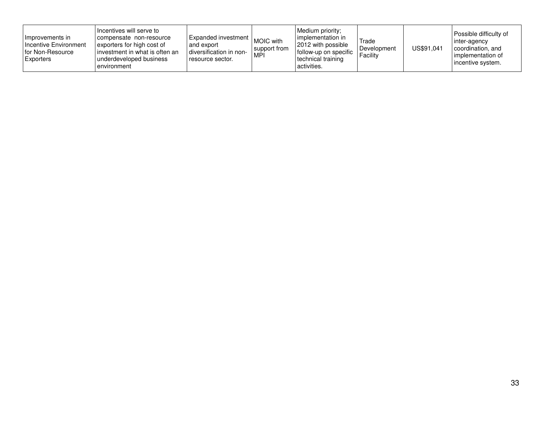| Hmprovements in<br>Incentive Environment<br>I for Non-Resource<br><b>Exporters</b> | I Incentives will serve to<br>compensate non-resource<br>exporters for high cost of<br>linvestment in what is often an<br>underdeveloped business<br>environment | Expanded investment MOIC with lung<br>and export<br>diversification in non-<br>resource sector. | support from<br>MPI | Medium priority:<br>I implementation in<br>2012 with possible<br>follow-up on specific<br>technical training<br>activities. | Trade<br>Development<br>Facility | US\$91,041 | Possible difficulty of<br>inter-agency<br>coordination, and<br>l implementation of<br>incentive system. |
|------------------------------------------------------------------------------------|------------------------------------------------------------------------------------------------------------------------------------------------------------------|-------------------------------------------------------------------------------------------------|---------------------|-----------------------------------------------------------------------------------------------------------------------------|----------------------------------|------------|---------------------------------------------------------------------------------------------------------|
|------------------------------------------------------------------------------------|------------------------------------------------------------------------------------------------------------------------------------------------------------------|-------------------------------------------------------------------------------------------------|---------------------|-----------------------------------------------------------------------------------------------------------------------------|----------------------------------|------------|---------------------------------------------------------------------------------------------------------|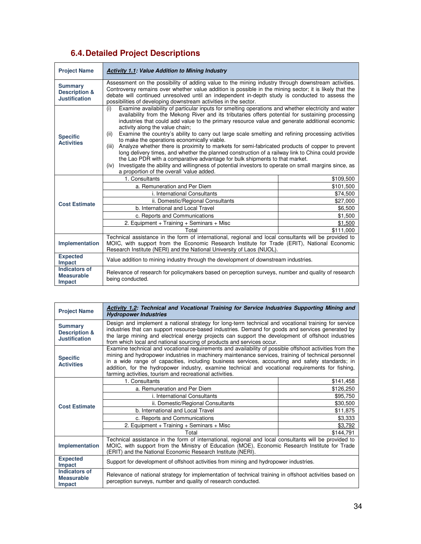### **6.4.Detailed Project Descriptions**

| <b>Project Name</b>                                                | <b>Activity 1.1: Value Addition to Mining Industry</b>                                                                                                                                                                                                                                                                                                                                                                                                                                                                                                                                                                                                                                                                                                                                                                                                                                                                                                                          |           |  |  |  |
|--------------------------------------------------------------------|---------------------------------------------------------------------------------------------------------------------------------------------------------------------------------------------------------------------------------------------------------------------------------------------------------------------------------------------------------------------------------------------------------------------------------------------------------------------------------------------------------------------------------------------------------------------------------------------------------------------------------------------------------------------------------------------------------------------------------------------------------------------------------------------------------------------------------------------------------------------------------------------------------------------------------------------------------------------------------|-----------|--|--|--|
| <b>Summary</b><br><b>Description &amp;</b><br><b>Justification</b> | Assessment on the possibility of adding value to the mining industry through downstream activities.<br>Controversy remains over whether value addition is possible in the mining sector; it is likely that the<br>debate will continued unresolved until an independent in-depth study is conducted to assess the<br>possibilities of developing downstream activities in the sector.                                                                                                                                                                                                                                                                                                                                                                                                                                                                                                                                                                                           |           |  |  |  |
| <b>Specific</b><br><b>Activities</b>                               | Examine availability of particular inputs for smelting operations and whether electricity and water<br>(i)<br>availability from the Mekong River and its tributaries offers potential for sustaining processing<br>industries that could add value to the primary resource value and generate additional economic<br>activity along the value chain;<br>Examine the country's ability to carry out large scale smelting and refining processing activities<br>(ii)<br>to make the operations economically viable.<br>Analyze whether there is proximity to markets for semi-fabricated products of copper to prevent<br>(iii)<br>long delivery times, and whether the planned construction of a railway link to China could provide<br>the Lao PDR with a comparative advantage for bulk shipments to that market.<br>Investigate the ability and willingness of potential investors to operate on small margins since, as<br>(iv)<br>a proportion of the overall 'value added. |           |  |  |  |
|                                                                    | 1. Consultants                                                                                                                                                                                                                                                                                                                                                                                                                                                                                                                                                                                                                                                                                                                                                                                                                                                                                                                                                                  | \$109,500 |  |  |  |
|                                                                    | a. Remuneration and Per Diem                                                                                                                                                                                                                                                                                                                                                                                                                                                                                                                                                                                                                                                                                                                                                                                                                                                                                                                                                    | \$101,500 |  |  |  |
|                                                                    | <i>i.</i> International Consultants<br>\$74,500                                                                                                                                                                                                                                                                                                                                                                                                                                                                                                                                                                                                                                                                                                                                                                                                                                                                                                                                 |           |  |  |  |
| <b>Cost Estimate</b>                                               | ii. Domestic/Regional Consultants                                                                                                                                                                                                                                                                                                                                                                                                                                                                                                                                                                                                                                                                                                                                                                                                                                                                                                                                               | \$27,000  |  |  |  |
|                                                                    | b. International and Local Travel                                                                                                                                                                                                                                                                                                                                                                                                                                                                                                                                                                                                                                                                                                                                                                                                                                                                                                                                               | \$6,500   |  |  |  |
|                                                                    | c. Reports and Communications                                                                                                                                                                                                                                                                                                                                                                                                                                                                                                                                                                                                                                                                                                                                                                                                                                                                                                                                                   | \$1,500   |  |  |  |
|                                                                    | 2. Equipment + Training + Seminars + Misc                                                                                                                                                                                                                                                                                                                                                                                                                                                                                                                                                                                                                                                                                                                                                                                                                                                                                                                                       | \$1.500   |  |  |  |
|                                                                    | Total                                                                                                                                                                                                                                                                                                                                                                                                                                                                                                                                                                                                                                                                                                                                                                                                                                                                                                                                                                           | \$111,000 |  |  |  |
| Implementation                                                     | Technical assistance in the form of international, regional and local consultants will be provided to<br>MOIC, with support from the Economic Research Institute for Trade (ERIT), National Economic<br>Research Institute (NERI) and the National University of Laos (NUOL).                                                                                                                                                                                                                                                                                                                                                                                                                                                                                                                                                                                                                                                                                                   |           |  |  |  |
| <b>Expected</b><br>Impact                                          | Value addition to mining industry through the development of downstream industries.                                                                                                                                                                                                                                                                                                                                                                                                                                                                                                                                                                                                                                                                                                                                                                                                                                                                                             |           |  |  |  |
| Indicators of<br><b>Measurable</b><br>Impact                       | Relevance of research for policymakers based on perception surveys, number and quality of research<br>being conducted.                                                                                                                                                                                                                                                                                                                                                                                                                                                                                                                                                                                                                                                                                                                                                                                                                                                          |           |  |  |  |

| <b>Project Name</b>                                                | <b>Activity 1.2: Technical and Vocational Training for Service Industries Supporting Mining and</b><br><b>Hydropower Industries</b>                                                                                                                                                                                                                                                                                                                                                |           |  |  |
|--------------------------------------------------------------------|------------------------------------------------------------------------------------------------------------------------------------------------------------------------------------------------------------------------------------------------------------------------------------------------------------------------------------------------------------------------------------------------------------------------------------------------------------------------------------|-----------|--|--|
| <b>Summary</b><br><b>Description &amp;</b><br><b>Justification</b> | Design and implement a national strategy for long-term technical and vocational training for service<br>industries that can support resource-based industries. Demand for goods and services generated by<br>the large mining and electrical energy projects can support the development of offshoot industries<br>from which local and national sourcing of products and services occur.                                                                                          |           |  |  |
| <b>Specific</b><br><b>Activities</b>                               | Examine technical and vocational requirements and availability of possible offshoot activities from the<br>mining and hydropower industries in machinery maintenance services, training of technical personnel<br>in a wide range of capacities, including business services, accounting and safety standards; in<br>addition, for the hydropower industry, examine technical and vocational requirements for fishing,<br>farming activities, tourism and recreational activities. |           |  |  |
|                                                                    | 1. Consultants                                                                                                                                                                                                                                                                                                                                                                                                                                                                     | \$141,458 |  |  |
|                                                                    | a. Remuneration and Per Diem                                                                                                                                                                                                                                                                                                                                                                                                                                                       | \$126,250 |  |  |
|                                                                    | i. International Consultants                                                                                                                                                                                                                                                                                                                                                                                                                                                       | \$95,750  |  |  |
| <b>Cost Estimate</b>                                               | ii. Domestic/Regional Consultants                                                                                                                                                                                                                                                                                                                                                                                                                                                  | \$30,500  |  |  |
|                                                                    | b. International and Local Travel                                                                                                                                                                                                                                                                                                                                                                                                                                                  | \$11,875  |  |  |
|                                                                    | c. Reports and Communications                                                                                                                                                                                                                                                                                                                                                                                                                                                      | \$3,333   |  |  |
|                                                                    | 2. Equipment + Training + Seminars + Misc                                                                                                                                                                                                                                                                                                                                                                                                                                          | \$3,792   |  |  |
|                                                                    | Total                                                                                                                                                                                                                                                                                                                                                                                                                                                                              | \$144,791 |  |  |
| Implementation                                                     | Technical assistance in the form of international, regional and local consultants will be provided to<br>MOIC, with support from the Ministry of Education (MOE), Economic Research Institute for Trade<br>(ERIT) and the National Economic Research Institute (NERI).                                                                                                                                                                                                             |           |  |  |
| <b>Expected</b><br><b>Impact</b>                                   | Support for development of offshoot activities from mining and hydropower industries.                                                                                                                                                                                                                                                                                                                                                                                              |           |  |  |
| <b>Indicators of</b><br><b>Measurable</b><br>Impact                | Relevance of national strategy for implementation of technical training in offshoot activities based on<br>perception surveys, number and quality of research conducted.                                                                                                                                                                                                                                                                                                           |           |  |  |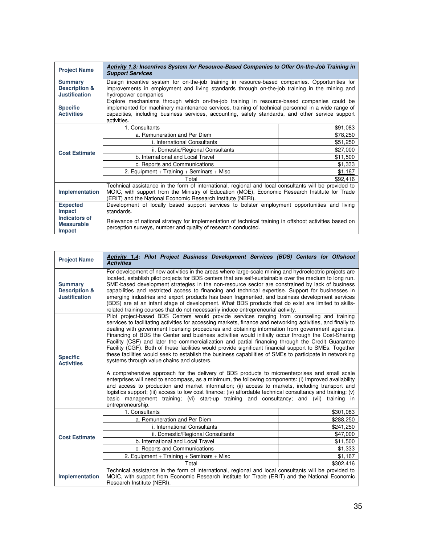| <b>Project Name</b>                                                | Activity 1.3: Incentives System for Resource-Based Companies to Offer On-the-Job Training in<br><b>Support Services</b>                                                                                                                                                                                            |          |  |  |  |
|--------------------------------------------------------------------|--------------------------------------------------------------------------------------------------------------------------------------------------------------------------------------------------------------------------------------------------------------------------------------------------------------------|----------|--|--|--|
| <b>Summary</b><br><b>Description &amp;</b><br><b>Justification</b> | Design incentive system for on-the-job training in resource-based companies. Opportunities for<br>improvements in employment and living standards through on-the-job training in the mining and<br>hydropower companies                                                                                            |          |  |  |  |
| <b>Specific</b><br><b>Activities</b>                               | Explore mechanisms through which on-the-job training in resource-based companies could be<br>implemented for machinery maintenance services, training of technical personnel in a wide range of<br>capacities, including business services, accounting, safety standards, and other service support<br>activities. |          |  |  |  |
|                                                                    | 1. Consultants                                                                                                                                                                                                                                                                                                     | \$91,083 |  |  |  |
|                                                                    | a. Remuneration and Per Diem                                                                                                                                                                                                                                                                                       | \$78,250 |  |  |  |
|                                                                    | i. International Consultants                                                                                                                                                                                                                                                                                       | \$51,250 |  |  |  |
| <b>Cost Estimate</b>                                               | ii. Domestic/Regional Consultants                                                                                                                                                                                                                                                                                  | \$27,000 |  |  |  |
|                                                                    | b. International and Local Travel                                                                                                                                                                                                                                                                                  | \$11,500 |  |  |  |
|                                                                    | c. Reports and Communications                                                                                                                                                                                                                                                                                      | \$1,333  |  |  |  |
|                                                                    | 2. Equipment + Training + Seminars + Misc                                                                                                                                                                                                                                                                          | \$1,167  |  |  |  |
|                                                                    | Total                                                                                                                                                                                                                                                                                                              | \$92,416 |  |  |  |
| Implementation                                                     | Technical assistance in the form of international, regional and local consultants will be provided to<br>MOIC, with support from the Ministry of Education (MOE), Economic Research Institute for Trade<br>(ERIT) and the National Economic Research Institute (NERI).                                             |          |  |  |  |
| <b>Expected</b><br><b>Impact</b>                                   | Development of locally based support services to bolster employment opportunities and living<br>standards.                                                                                                                                                                                                         |          |  |  |  |
| Indicators of<br><b>Measurable</b><br><b>Impact</b>                | Relevance of national strategy for implementation of technical training in offshoot activities based on<br>perception surveys, number and quality of research conducted.                                                                                                                                           |          |  |  |  |

| <b>Project Name</b>                                                | Activity 1.4: Pilot Project Business Development Services (BDS) Centers for Offshoot<br><b>Activities</b>                                                                                                                                                                                                                                                                                                                                                                                                                                                                                                                                                                                                                                                                                                                                                                                                                                                                                                                                                                                                                                                                                                                                                                                                                                    |           |  |
|--------------------------------------------------------------------|----------------------------------------------------------------------------------------------------------------------------------------------------------------------------------------------------------------------------------------------------------------------------------------------------------------------------------------------------------------------------------------------------------------------------------------------------------------------------------------------------------------------------------------------------------------------------------------------------------------------------------------------------------------------------------------------------------------------------------------------------------------------------------------------------------------------------------------------------------------------------------------------------------------------------------------------------------------------------------------------------------------------------------------------------------------------------------------------------------------------------------------------------------------------------------------------------------------------------------------------------------------------------------------------------------------------------------------------|-----------|--|
| <b>Summary</b><br><b>Description &amp;</b><br><b>Justification</b> | For development of new activities in the areas where large-scale mining and hydroelectric projects are<br>located, establish pilot projects for BDS centers that are self-sustainable over the medium to long run.<br>SME-based development strategies in the non-resource sector are constrained by lack of business<br>capabilities and restricted access to financing and technical expertise. Support for businesses in<br>emerging industries and export products has been fragmented, and business development services<br>(BDS) are at an infant stage of development. What BDS products that do exist are limited to skills-<br>related training courses that do not necessarily induce entrepreneurial activity.                                                                                                                                                                                                                                                                                                                                                                                                                                                                                                                                                                                                                    |           |  |
| <b>Specific</b><br><b>Activities</b>                               | Pilot project-based BDS Centers would provide services ranging from counseling and training<br>services to facilitating activities for accessing markets, finance and networking activities, and finally to<br>dealing with government licensing procedures and obtaining information from government agencies.<br>Financing of BDS the Center and business activities would initially occur through the Cost-Sharing<br>Facility (CSF) and later the commercialization and partial financing through the Credit Guarantee<br>Facility (CGF). Both of these facilities would provide significant financial support to SMEs. Together<br>these facilities would seek to establish the business capabilities of SMEs to participate in networking<br>systems through value chains and clusters.<br>A comprehensive approach for the delivery of BDS products to microenterprises and small scale<br>enterprises will need to encompass, as a minimum, the following components: (i) improved availability<br>and access to production and market information; (ii) access to markets, including transport and<br>logistics support; (iii) access to low cost finance; (iv) affordable technical consultancy and training; (v)<br>basic management training; (vi) start-up training and consultancy; and (vii) training in<br>entrepreneurship. |           |  |
|                                                                    | 1. Consultants                                                                                                                                                                                                                                                                                                                                                                                                                                                                                                                                                                                                                                                                                                                                                                                                                                                                                                                                                                                                                                                                                                                                                                                                                                                                                                                               | \$301,083 |  |
|                                                                    | a. Remuneration and Per Diem                                                                                                                                                                                                                                                                                                                                                                                                                                                                                                                                                                                                                                                                                                                                                                                                                                                                                                                                                                                                                                                                                                                                                                                                                                                                                                                 | \$288,250 |  |
|                                                                    | i. International Consultants                                                                                                                                                                                                                                                                                                                                                                                                                                                                                                                                                                                                                                                                                                                                                                                                                                                                                                                                                                                                                                                                                                                                                                                                                                                                                                                 | \$241,250 |  |
| <b>Cost Estimate</b>                                               | ii. Domestic/Regional Consultants                                                                                                                                                                                                                                                                                                                                                                                                                                                                                                                                                                                                                                                                                                                                                                                                                                                                                                                                                                                                                                                                                                                                                                                                                                                                                                            | \$47,000  |  |
|                                                                    | b. International and Local Travel                                                                                                                                                                                                                                                                                                                                                                                                                                                                                                                                                                                                                                                                                                                                                                                                                                                                                                                                                                                                                                                                                                                                                                                                                                                                                                            | \$11,500  |  |
|                                                                    | c. Reports and Communications                                                                                                                                                                                                                                                                                                                                                                                                                                                                                                                                                                                                                                                                                                                                                                                                                                                                                                                                                                                                                                                                                                                                                                                                                                                                                                                | \$1,333   |  |
|                                                                    | 2. Equipment + Training + Seminars + Misc                                                                                                                                                                                                                                                                                                                                                                                                                                                                                                                                                                                                                                                                                                                                                                                                                                                                                                                                                                                                                                                                                                                                                                                                                                                                                                    | \$1,167   |  |
|                                                                    | Total                                                                                                                                                                                                                                                                                                                                                                                                                                                                                                                                                                                                                                                                                                                                                                                                                                                                                                                                                                                                                                                                                                                                                                                                                                                                                                                                        | \$302,416 |  |
|                                                                    | Technical assistance in the form of international, regional and local consultants will be provided to                                                                                                                                                                                                                                                                                                                                                                                                                                                                                                                                                                                                                                                                                                                                                                                                                                                                                                                                                                                                                                                                                                                                                                                                                                        |           |  |
| Implementation                                                     | MOIC, with support from Economic Research Institute for Trade (ERIT) and the National Economic<br>Research Institute (NERI).                                                                                                                                                                                                                                                                                                                                                                                                                                                                                                                                                                                                                                                                                                                                                                                                                                                                                                                                                                                                                                                                                                                                                                                                                 |           |  |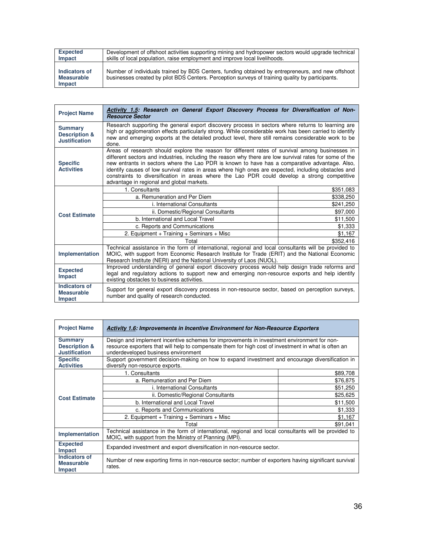| <b>Expected</b>                              | Development of offshoot activities supporting mining and hydropower sectors would upgrade technical                                                                                                   |
|----------------------------------------------|-------------------------------------------------------------------------------------------------------------------------------------------------------------------------------------------------------|
| Impact                                       | skills of local population, raise employment and improve local livelihoods.                                                                                                                           |
| Indicators of<br><b>Measurable</b><br>Impact | Number of individuals trained by BDS Centers, funding obtained by entrepreneurs, and new offshoot<br>businesses created by pilot BDS Centers. Perception surveys of training quality by participants. |

| <b>Project Name</b>                                                | Activity 1.5: Research on General Export Discovery Process for Diversification of Non-<br><b>Resource Sector</b>                                                                                                                                                                                                                                                                                                                                                                                                                                                 |           |  |
|--------------------------------------------------------------------|------------------------------------------------------------------------------------------------------------------------------------------------------------------------------------------------------------------------------------------------------------------------------------------------------------------------------------------------------------------------------------------------------------------------------------------------------------------------------------------------------------------------------------------------------------------|-----------|--|
| <b>Summary</b><br><b>Description &amp;</b><br><b>Justification</b> | Research supporting the general export discovery process in sectors where returns to learning are<br>high or agglomeration effects particularly strong. While considerable work has been carried to identify<br>new and emerging exports at the detailed product level, there still remains considerable work to be<br>done.                                                                                                                                                                                                                                     |           |  |
| <b>Specific</b><br><b>Activities</b>                               | Areas of research should explore the reason for different rates of survival among businesses in<br>different sectors and industries, including the reason why there are low survival rates for some of the<br>new entrants in sectors where the Lao PDR is known to have has a comparative advantage. Also,<br>identify causes of low survival rates in areas where high ones are expected, including obstacles and<br>constraints to diversification in areas where the Lao PDR could develop a strong competitive<br>advantage in regional and global markets. |           |  |
| <b>Cost Estimate</b>                                               | 1. Consultants                                                                                                                                                                                                                                                                                                                                                                                                                                                                                                                                                   | \$351,083 |  |
|                                                                    | a. Remuneration and Per Diem                                                                                                                                                                                                                                                                                                                                                                                                                                                                                                                                     | \$338,250 |  |
|                                                                    | <i>i.</i> International Consultants                                                                                                                                                                                                                                                                                                                                                                                                                                                                                                                              | \$241,250 |  |
|                                                                    | ii. Domestic/Regional Consultants                                                                                                                                                                                                                                                                                                                                                                                                                                                                                                                                | \$97,000  |  |
|                                                                    | b. International and Local Travel                                                                                                                                                                                                                                                                                                                                                                                                                                                                                                                                | \$11,500  |  |
|                                                                    | c. Reports and Communications                                                                                                                                                                                                                                                                                                                                                                                                                                                                                                                                    | \$1,333   |  |
|                                                                    | 2. Equipment + Training + Seminars + Misc                                                                                                                                                                                                                                                                                                                                                                                                                                                                                                                        | \$1,167   |  |
|                                                                    | Total                                                                                                                                                                                                                                                                                                                                                                                                                                                                                                                                                            | \$352,416 |  |
| Implementation                                                     | Technical assistance in the form of international, regional and local consultants will be provided to<br>MOIC, with support from Economic Research Institute for Trade (ERIT) and the National Economic<br>Research Institute (NERI) and the National University of Laos (NUOL).                                                                                                                                                                                                                                                                                 |           |  |
| <b>Expected</b><br>Impact                                          | Improved understanding of general export discovery process would help design trade reforms and<br>legal and regulatory actions to support new and emerging non-resource exports and help identify<br>existing obstacles to business activities.                                                                                                                                                                                                                                                                                                                  |           |  |
| <b>Indicators of</b><br><b>Measurable</b><br>Impact                | Support for general export discovery process in non-resource sector, based on perception surveys,<br>number and quality of research conducted.                                                                                                                                                                                                                                                                                                                                                                                                                   |           |  |

| <b>Project Name</b>                                                | <b>Activity 1.6: Improvements in Incentive Environment for Non-Resource Exporters</b>                                                                                                                                                     |          |  |
|--------------------------------------------------------------------|-------------------------------------------------------------------------------------------------------------------------------------------------------------------------------------------------------------------------------------------|----------|--|
| <b>Summary</b><br><b>Description &amp;</b><br><b>Justification</b> | Design and implement incentive schemes for improvements in investment environment for non-<br>resource exporters that will help to compensate them for high cost of investment in what is often an<br>underdeveloped business environment |          |  |
| <b>Specific</b><br><b>Activities</b>                               | Support government decision-making on how to expand investment and encourage diversification in<br>diversify non-resource exports.                                                                                                        |          |  |
| <b>Cost Estimate</b>                                               | 1. Consultants                                                                                                                                                                                                                            | \$89,708 |  |
|                                                                    | a. Remuneration and Per Diem                                                                                                                                                                                                              | \$76,875 |  |
|                                                                    | <i>i.</i> International Consultants                                                                                                                                                                                                       | \$51,250 |  |
|                                                                    | ii. Domestic/Regional Consultants                                                                                                                                                                                                         | \$25,625 |  |
|                                                                    | b. International and Local Travel                                                                                                                                                                                                         | \$11,500 |  |
|                                                                    | c. Reports and Communications                                                                                                                                                                                                             | \$1,333  |  |
|                                                                    | 2. Equipment + Training + Seminars + Misc                                                                                                                                                                                                 | \$1,167  |  |
|                                                                    | Total                                                                                                                                                                                                                                     | \$91,041 |  |
| Implementation                                                     | Technical assistance in the form of international, regional and local consultants will be provided to<br>MOIC, with support from the Ministry of Planning (MPI).                                                                          |          |  |
| <b>Expected</b><br><b>Impact</b>                                   | Expanded investment and export diversification in non-resource sector.                                                                                                                                                                    |          |  |
| Indicators of<br><b>Measurable</b><br>Impact                       | Number of new exporting firms in non-resource sector; number of exporters having significant survival<br>rates.                                                                                                                           |          |  |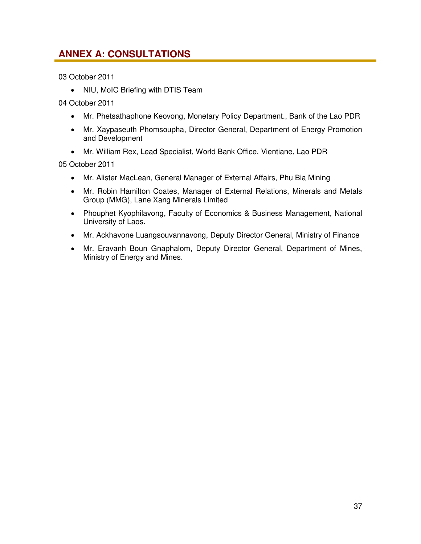### **ANNEX A: CONSULTATIONS**

03 October 2011

• NIU, MoIC Briefing with DTIS Team

04 October 2011

- Mr. Phetsathaphone Keovong, Monetary Policy Department., Bank of the Lao PDR
- Mr. Xaypaseuth Phomsoupha, Director General, Department of Energy Promotion and Development
- Mr. William Rex, Lead Specialist, World Bank Office, Vientiane, Lao PDR

05 October 2011

- Mr. Alister MacLean, General Manager of External Affairs, Phu Bia Mining
- Mr. Robin Hamilton Coates, Manager of External Relations, Minerals and Metals Group (MMG), Lane Xang Minerals Limited
- Phouphet Kyophilavong, Faculty of Economics & Business Management, National University of Laos.
- Mr. Ackhavone Luangsouvannavong, Deputy Director General, Ministry of Finance
- Mr. Eravanh Boun Gnaphalom, Deputy Director General, Department of Mines, Ministry of Energy and Mines.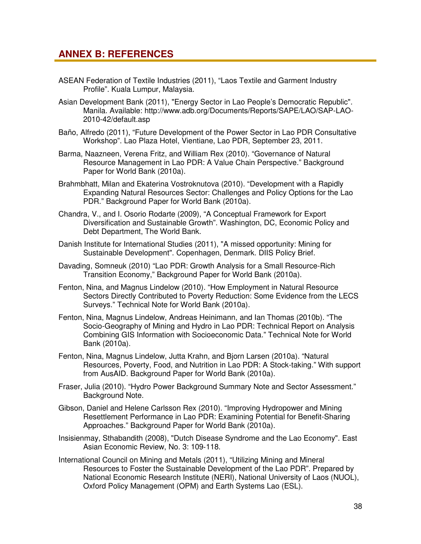### **ANNEX B: REFERENCES**

- ASEAN Federation of Textile Industries (2011), "Laos Textile and Garment Industry Profile". Kuala Lumpur, Malaysia.
- Asian Development Bank (2011), "Energy Sector in Lao People's Democratic Republic". Manila. Available: http://www.adb.org/Documents/Reports/SAPE/LAO/SAP-LAO-2010-42/default.asp
- Baño, Alfredo (2011), "Future Development of the Power Sector in Lao PDR Consultative Workshop". Lao Plaza Hotel, Vientiane, Lao PDR, September 23, 2011.
- Barma, Naazneen, Verena Fritz, and William Rex (2010). "Governance of Natural Resource Management in Lao PDR: A Value Chain Perspective." Background Paper for World Bank (2010a).
- Brahmbhatt, Milan and Ekaterina Vostroknutova (2010). "Development with a Rapidly Expanding Natural Resources Sector: Challenges and Policy Options for the Lao PDR." Background Paper for World Bank (2010a).
- Chandra, V., and I. Osorio Rodarte (2009), "A Conceptual Framework for Export Diversification and Sustainable Growth". Washington, DC, Economic Policy and Debt Department, The World Bank.
- Danish Institute for International Studies (2011), "A missed opportunity: Mining for Sustainable Development". Copenhagen, Denmark. DIIS Policy Brief.
- Davading, Somneuk (2010) "Lao PDR: Growth Analysis for a Small Resource-Rich Transition Economy," Background Paper for World Bank (2010a).
- Fenton, Nina, and Magnus Lindelow (2010). "How Employment in Natural Resource Sectors Directly Contributed to Poverty Reduction: Some Evidence from the LECS Surveys." Technical Note for World Bank (2010a).
- Fenton, Nina, Magnus Lindelow, Andreas Heinimann, and Ian Thomas (2010b). "The Socio-Geography of Mining and Hydro in Lao PDR: Technical Report on Analysis Combining GIS Information with Socioeconomic Data." Technical Note for World Bank (2010a).
- Fenton, Nina, Magnus Lindelow, Jutta Krahn, and Bjorn Larsen (2010a). "Natural Resources, Poverty, Food, and Nutrition in Lao PDR: A Stock-taking." With support from AusAID. Background Paper for World Bank (2010a).
- Fraser, Julia (2010). "Hydro Power Background Summary Note and Sector Assessment." Background Note.
- Gibson, Daniel and Helene Carlsson Rex (2010). "Improving Hydropower and Mining Resettlement Performance in Lao PDR: Examining Potential for Benefit-Sharing Approaches." Background Paper for World Bank (2010a).
- Insisienmay, Sthabandith (2008), "Dutch Disease Syndrome and the Lao Economy". East Asian Economic Review, No. 3: 109‐118.
- International Council on Mining and Metals (2011), "Utilizing Mining and Mineral Resources to Foster the Sustainable Development of the Lao PDR". Prepared by National Economic Research Institute (NERI), National University of Laos (NUOL), Oxford Policy Management (OPM) and Earth Systems Lao (ESL).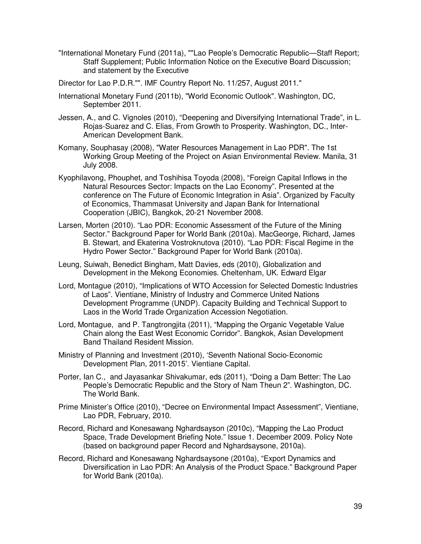- "International Monetary Fund (2011a), ""Lao People's Democratic Republic—Staff Report; Staff Supplement; Public Information Notice on the Executive Board Discussion; and statement by the Executive
- Director for Lao P.D.R."". IMF Country Report No. 11/257, August 2011."
- International Monetary Fund (2011b), "World Economic Outlook". Washington, DC, September 2011.
- Jessen, A., and C. Vignoles (2010), "Deepening and Diversifying International Trade", in L. Rojas-Suarez and C. Elias, From Growth to Prosperity. Washington, DC., Inter-American Development Bank.
- Komany, Souphasay (2008), "Water Resources Management in Lao PDR". The 1st Working Group Meeting of the Project on Asian Environmental Review. Manila, 31 July 2008.
- Kyophilavong, Phouphet, and Toshihisa Toyoda (2008), "Foreign Capital Inflows in the Natural Resources Sector: Impacts on the Lao Economy". Presented at the conference on The Future of Economic Integration in Asia". Organized by Faculty of Economics, Thammasat University and Japan Bank for International Cooperation (JBIC), Bangkok, 20-21 November 2008.
- Larsen, Morten (2010). "Lao PDR: Economic Assessment of the Future of the Mining Sector." Background Paper for World Bank (2010a). MacGeorge, Richard, James B. Stewart, and Ekaterina Vostroknutova (2010). "Lao PDR: Fiscal Regime in the Hydro Power Sector." Background Paper for World Bank (2010a).
- Leung, Suiwah, Benedict Bingham, Matt Davies, eds (2010), Globalization and Development in the Mekong Economies. Cheltenham, UK. Edward Elgar
- Lord, Montague (2010), "Implications of WTO Accession for Selected Domestic Industries of Laos". Vientiane, Ministry of Industry and Commerce United Nations Development Programme (UNDP). Capacity Building and Technical Support to Laos in the World Trade Organization Accession Negotiation.
- Lord, Montague, and P. Tangtrongjita (2011), "Mapping the Organic Vegetable Value Chain along the East West Economic Corridor". Bangkok, Asian Development Band Thailand Resident Mission.
- Ministry of Planning and Investment (2010), 'Seventh National Socio‐Economic Development Plan, 2011‐2015'. Vientiane Capital.
- Porter, Ian C., and Jayasankar Shivakumar, eds (2011), "Doing a Dam Better: The Lao People's Democratic Republic and the Story of Nam Theun 2". Washington, DC. The World Bank.
- Prime Minister's Office (2010), "Decree on Environmental Impact Assessment", Vientiane, Lao PDR, February, 2010.
- Record, Richard and Konesawang Nghardsayson (2010c), "Mapping the Lao Product Space, Trade Development Briefing Note." Issue 1. December 2009. Policy Note (based on background paper Record and Nghardsaysone, 2010a).
- Record, Richard and Konesawang Nghardsaysone (2010a), "Export Dynamics and Diversification in Lao PDR: An Analysis of the Product Space." Background Paper for World Bank (2010a).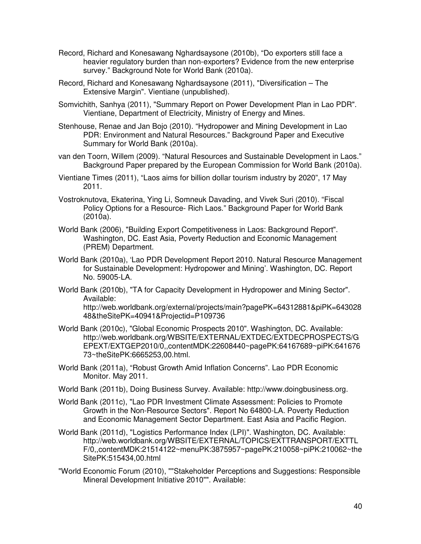- Record, Richard and Konesawang Nghardsaysone (2010b), "Do exporters still face a heavier regulatory burden than non-exporters? Evidence from the new enterprise survey." Background Note for World Bank (2010a).
- Record, Richard and Konesawang Nghardsaysone (2011), "Diversification The Extensive Margin". Vientiane (unpublished).
- Somvichith, Sanhya (2011), "Summary Report on Power Development Plan in Lao PDR". Vientiane, Department of Electricity, Ministry of Energy and Mines.
- Stenhouse, Renae and Jan Bojo (2010). "Hydropower and Mining Development in Lao PDR: Environment and Natural Resources." Background Paper and Executive Summary for World Bank (2010a).
- van den Toorn, Willem (2009). "Natural Resources and Sustainable Development in Laos." Background Paper prepared by the European Commission for World Bank (2010a).
- Vientiane Times (2011), "Laos aims for billion dollar tourism industry by 2020", 17 May 2011.
- Vostroknutova, Ekaterina, Ying Li, Somneuk Davading, and Vivek Suri (2010). "Fiscal Policy Options for a Resource- Rich Laos." Background Paper for World Bank (2010a).
- World Bank (2006), "Building Export Competitiveness in Laos: Background Report". Washington, DC. East Asia, Poverty Reduction and Economic Management (PREM) Department.
- World Bank (2010a), 'Lao PDR Development Report 2010. Natural Resource Management for Sustainable Development: Hydropower and Mining'. Washington, DC. Report No. 59005-LA.
- World Bank (2010b), "TA for Capacity Development in Hydropower and Mining Sector". Available: http://web.worldbank.org/external/projects/main?pagePK=64312881&piPK=643028 48&theSitePK=40941&Projectid=P109736
- World Bank (2010c), "Global Economic Prospects 2010". Washington, DC. Available: http://web.worldbank.org/WBSITE/EXTERNAL/EXTDEC/EXTDECPROSPECTS/G EPEXT/EXTGEP2010/0,,contentMDK:22608440~pagePK:64167689~piPK:641676 73~theSitePK:6665253,00.html.
- World Bank (2011a), "Robust Growth Amid Inflation Concerns". Lao PDR Economic Monitor. May 2011.
- World Bank (2011b), Doing Business Survey. Available: http://www.doingbusiness.org.
- World Bank (2011c), "Lao PDR Investment Climate Assessment: Policies to Promote Growth in the Non-Resource Sectors". Report No 64800-LA. Poverty Reduction and Economic Management Sector Department. East Asia and Pacific Region.
- World Bank (2011d), "Logistics Performance Index (LPI)". Washington, DC. Available: http://web.worldbank.org/WBSITE/EXTERNAL/TOPICS/EXTTRANSPORT/EXTTL F/0,,contentMDK:21514122~menuPK:3875957~pagePK:210058~piPK:210062~the SitePK:515434,00.html
- "World Economic Forum (2010), ""Stakeholder Perceptions and Suggestions: Responsible Mineral Development Initiative 2010"". Available: